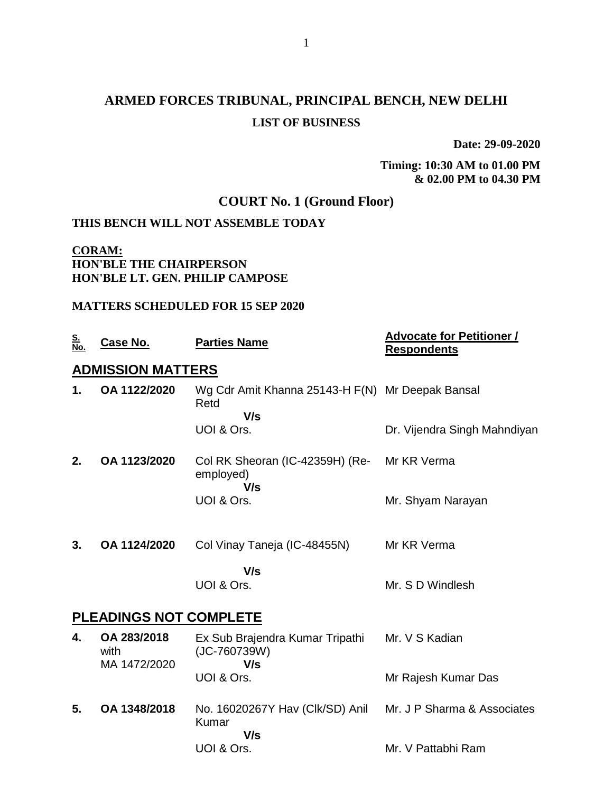# **ARMED FORCES TRIBUNAL, PRINCIPAL BENCH, NEW DELHI LIST OF BUSINESS**

**Date: 29-09-2020**

#### **Timing: 10:30 AM to 01.00 PM & 02.00 PM to 04.30 PM**

## **COURT No. 1 (Ground Floor)**

## **THIS BENCH WILL NOT ASSEMBLE TODAY**

### **CORAM: HON'BLE THE CHAIRPERSON HON'BLE LT. GEN. PHILIP CAMPOSE**

#### **MATTERS SCHEDULED FOR 15 SEP 2020**

| <u>S.</u><br><u>No.</u> | Case No.                            | <b>Parties Name</b>                                             | <b>Advocate for Petitioner /</b><br><b>Respondents</b> |
|-------------------------|-------------------------------------|-----------------------------------------------------------------|--------------------------------------------------------|
|                         | <b>ADMISSION MATTERS</b>            |                                                                 |                                                        |
| 1.                      | OA 1122/2020                        | Wg Cdr Amit Khanna 25143-H F(N) Mr Deepak Bansal<br>Retd<br>V/s |                                                        |
|                         |                                     | UOI & Ors.                                                      | Dr. Vijendra Singh Mahndiyan                           |
| 2.                      | OA 1123/2020                        | Col RK Sheoran (IC-42359H) (Re-<br>employed)<br>V/s             | Mr KR Verma                                            |
|                         |                                     | UOI & Ors.                                                      | Mr. Shyam Narayan                                      |
| 3.                      | OA 1124/2020                        | Col Vinay Taneja (IC-48455N)                                    | Mr KR Verma                                            |
|                         |                                     | V/s<br>UOI & Ors.                                               | Mr. S D Windlesh                                       |
|                         | PLEADINGS NOT COMPLETE              |                                                                 |                                                        |
| 4.                      | OA 283/2018<br>with<br>MA 1472/2020 | Ex Sub Brajendra Kumar Tripathi<br>(JC-760739W)<br>V/s          | Mr. V S Kadian                                         |
|                         |                                     | UOI & Ors.                                                      | Mr Rajesh Kumar Das                                    |
| 5.                      | OA 1348/2018                        | No. 16020267Y Hav (Clk/SD) Anil<br>Kumar<br>V/s                 | Mr. J P Sharma & Associates                            |
|                         |                                     | UOI & Ors.                                                      | Mr. V Pattabhi Ram                                     |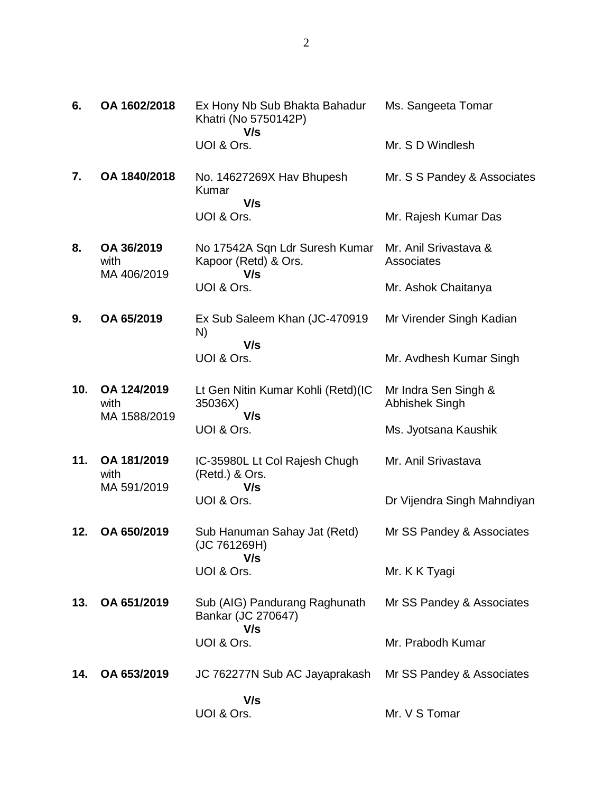| 6.  | OA 1602/2018                        | Ex Hony Nb Sub Bhakta Bahadur<br>Khatri (No 5750142P)<br>V/s  | Ms. Sangeeta Tomar                            |
|-----|-------------------------------------|---------------------------------------------------------------|-----------------------------------------------|
|     |                                     | UOI & Ors.                                                    | Mr. S D Windlesh                              |
| 7.  | OA 1840/2018                        | No. 14627269X Hav Bhupesh<br><b>Kumar</b><br>V/s              | Mr. S S Pandey & Associates                   |
|     |                                     | UOI & Ors.                                                    | Mr. Rajesh Kumar Das                          |
| 8.  | OA 36/2019<br>with<br>MA 406/2019   | No 17542A Sqn Ldr Suresh Kumar<br>Kapoor (Retd) & Ors.<br>V/s | Mr. Anil Srivastava &<br>Associates           |
|     |                                     | UOI & Ors.                                                    | Mr. Ashok Chaitanya                           |
| 9.  | OA 65/2019                          | Ex Sub Saleem Khan (JC-470919<br>N)<br>V/s                    | Mr Virender Singh Kadian                      |
|     |                                     | UOI & Ors.                                                    | Mr. Avdhesh Kumar Singh                       |
| 10. | OA 124/2019<br>with<br>MA 1588/2019 | Lt Gen Nitin Kumar Kohli (Retd)(IC<br>35036X)<br>V/s          | Mr Indra Sen Singh &<br><b>Abhishek Singh</b> |
|     |                                     | UOI & Ors.                                                    | Ms. Jyotsana Kaushik                          |
| 11. | OA 181/2019<br>with                 | IC-35980L Lt Col Rajesh Chugh<br>(Retd.) & Ors.<br>V/s        | Mr. Anil Srivastava                           |
|     | MA 591/2019                         | UOI & Ors.                                                    | Dr Vijendra Singh Mahndiyan                   |
| 12. | OA 650/2019                         | Sub Hanuman Sahay Jat (Retd)<br>(JC 761269H)<br>V/s           | Mr SS Pandey & Associates                     |
|     |                                     | UOI & Ors.                                                    | Mr. K K Tyagi                                 |
| 13. | OA 651/2019                         | Sub (AIG) Pandurang Raghunath<br>Bankar (JC 270647)<br>V/s    | Mr SS Pandey & Associates                     |
|     |                                     | UOI & Ors.                                                    | Mr. Prabodh Kumar                             |
| 14. | OA 653/2019                         | JC 762277N Sub AC Jayaprakash                                 | Mr SS Pandey & Associates                     |
|     |                                     | V/s<br>UOI & Ors.                                             | Mr. V S Tomar                                 |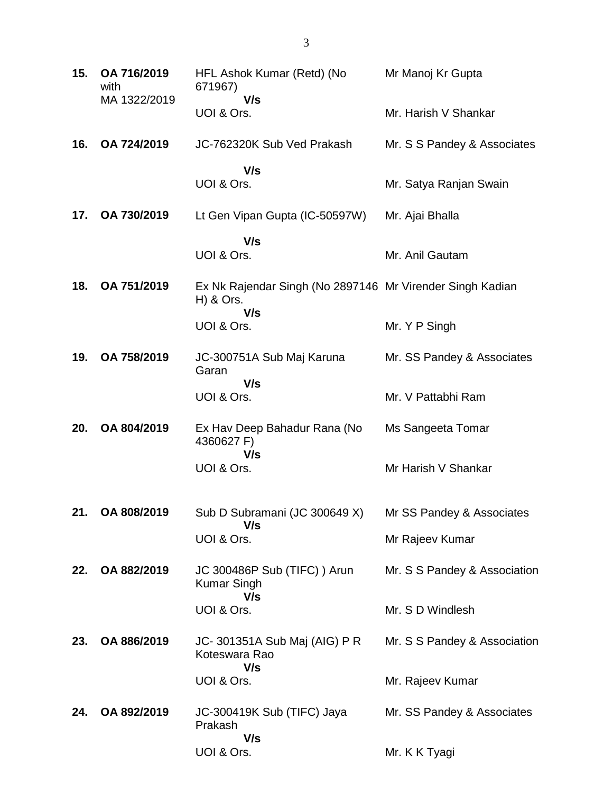| 15. | OA 716/2019<br>with<br>MA 1322/2019 | HFL Ashok Kumar (Retd) (No<br>671967)<br>V/s                                  | Mr Manoj Kr Gupta            |
|-----|-------------------------------------|-------------------------------------------------------------------------------|------------------------------|
|     |                                     | UOI & Ors.                                                                    | Mr. Harish V Shankar         |
| 16. | OA 724/2019                         | JC-762320K Sub Ved Prakash                                                    | Mr. S S Pandey & Associates  |
|     |                                     | V/s<br>UOI & Ors.                                                             | Mr. Satya Ranjan Swain       |
| 17. | OA 730/2019                         | Lt Gen Vipan Gupta (IC-50597W)                                                | Mr. Ajai Bhalla              |
|     |                                     | V/s<br>UOI & Ors.                                                             | Mr. Anil Gautam              |
| 18. | OA 751/2019                         | Ex Nk Rajendar Singh (No 2897146 Mr Virender Singh Kadian<br>H) & Ors.<br>V/s |                              |
|     |                                     | UOI & Ors.                                                                    | Mr. Y P Singh                |
| 19. | OA 758/2019                         | JC-300751A Sub Maj Karuna<br>Garan<br>V/s                                     | Mr. SS Pandey & Associates   |
|     |                                     | UOI & Ors.                                                                    | Mr. V Pattabhi Ram           |
| 20. | OA 804/2019                         | Ex Hav Deep Bahadur Rana (No<br>4360627 F)                                    | Ms Sangeeta Tomar            |
|     |                                     | V/s<br>UOI & Ors.                                                             | Mr Harish V Shankar          |
|     | 21. OA 808/2019                     | Sub D Subramani (JC 300649 X)<br>V/s                                          | Mr SS Pandey & Associates    |
|     |                                     | UOI & Ors.                                                                    | Mr Rajeev Kumar              |
| 22. | OA 882/2019                         | JC 300486P Sub (TIFC) ) Arun<br><b>Kumar Singh</b><br>V/s                     | Mr. S S Pandey & Association |
|     |                                     | UOI & Ors.                                                                    | Mr. S D Windlesh             |
| 23. | OA 886/2019                         | JC- 301351A Sub Maj (AIG) P R<br>Koteswara Rao<br>V/s                         | Mr. S S Pandey & Association |
|     |                                     | UOI & Ors.                                                                    | Mr. Rajeev Kumar             |
| 24. | OA 892/2019                         | JC-300419K Sub (TIFC) Jaya<br>Prakash<br>V/s                                  | Mr. SS Pandey & Associates   |
|     |                                     | UOI & Ors.                                                                    | Mr. K K Tyagi                |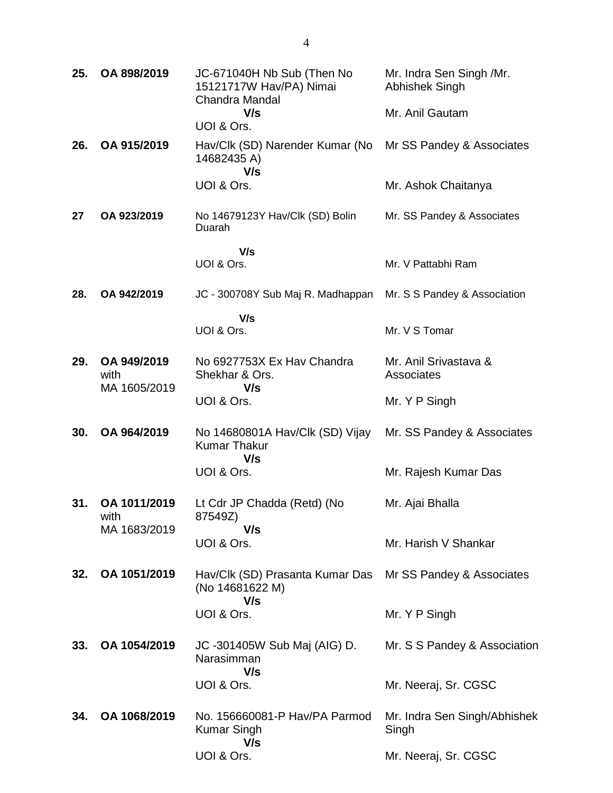| 25. | OA 898/2019          | JC-671040H Nb Sub (Then No<br>15121717W Hav/PA) Nimai<br>Chandra Mandal | Mr. Indra Sen Singh /Mr.<br>Abhishek Singh |
|-----|----------------------|-------------------------------------------------------------------------|--------------------------------------------|
|     |                      | V/s<br>UOI & Ors.                                                       | Mr. Anil Gautam                            |
| 26. | OA 915/2019          | Hav/Clk (SD) Narender Kumar (No<br>14682435 A)<br>V/s                   | Mr SS Pandey & Associates                  |
|     |                      | UOI & Ors.                                                              | Mr. Ashok Chaitanya                        |
| 27  | OA 923/2019          | No 14679123Y Hav/Clk (SD) Bolin<br>Duarah                               | Mr. SS Pandey & Associates                 |
|     |                      | V/s                                                                     |                                            |
|     |                      | UOI & Ors.                                                              | Mr. V Pattabhi Ram                         |
| 28. | OA 942/2019          | JC - 300708Y Sub Maj R. Madhappan                                       | Mr. S S Pandey & Association               |
|     |                      | V/s                                                                     |                                            |
|     |                      | UOI & Ors.                                                              | Mr. V S Tomar                              |
| 29. | OA 949/2019<br>with  | No 6927753X Ex Hav Chandra<br>Shekhar & Ors.                            | Mr. Anil Srivastava &<br>Associates        |
|     | MA 1605/2019         | V/s<br>UOI & Ors.                                                       | Mr. Y P Singh                              |
| 30. | OA 964/2019          | No 14680801A Hav/Clk (SD) Vijay<br><b>Kumar Thakur</b><br>V/s           | Mr. SS Pandey & Associates                 |
|     |                      | UOI & Ors.                                                              | Mr. Rajesh Kumar Das                       |
| 31. | OA 1011/2019<br>with | Lt Cdr JP Chadda (Retd) (No<br>87549Z)                                  | Mr. Ajai Bhalla                            |
|     | MA 1683/2019         | V/s<br>UOI & Ors.                                                       | Mr. Harish V Shankar                       |
| 32. | OA 1051/2019         | Hav/Clk (SD) Prasanta Kumar Das<br>(No 14681622 M)<br>V/s               | Mr SS Pandey & Associates                  |
|     |                      | UOI & Ors.                                                              | Mr. Y P Singh                              |
| 33. | OA 1054/2019         | JC -301405W Sub Maj (AIG) D.<br>Narasimman                              | Mr. S S Pandey & Association               |
|     |                      | V/s<br>UOI & Ors.                                                       | Mr. Neeraj, Sr. CGSC                       |
| 34. | OA 1068/2019         | No. 156660081-P Hav/PA Parmod<br>Kumar Singh<br>V/s                     | Mr. Indra Sen Singh/Abhishek<br>Singh      |
|     |                      | UOI & Ors.                                                              | Mr. Neeraj, Sr. CGSC                       |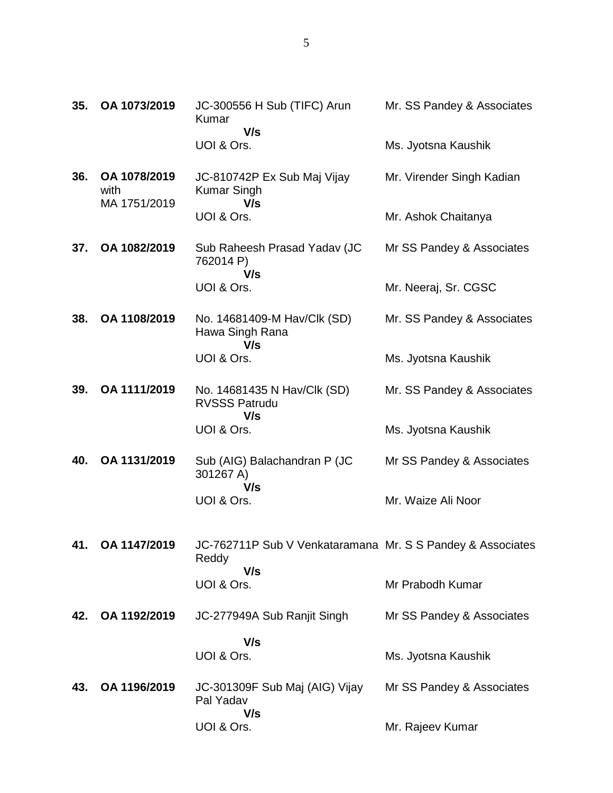| 35. | OA 1073/2019                         | JC-300556 H Sub (TIFC) Arun<br><b>Kumar</b><br>V/s                  | Mr. SS Pandey & Associates |
|-----|--------------------------------------|---------------------------------------------------------------------|----------------------------|
|     |                                      | UOI & Ors.                                                          | Ms. Jyotsna Kaushik        |
| 36. | OA 1078/2019<br>with<br>MA 1751/2019 | JC-810742P Ex Sub Maj Vijay<br><b>Kumar Singh</b><br>V/s            | Mr. Virender Singh Kadian  |
|     |                                      | UOI & Ors.                                                          | Mr. Ashok Chaitanya        |
| 37. | OA 1082/2019                         | Sub Raheesh Prasad Yadav (JC<br>762014 P)<br>V/s                    | Mr SS Pandey & Associates  |
|     |                                      | UOI & Ors.                                                          | Mr. Neeraj, Sr. CGSC       |
| 38. | OA 1108/2019                         | No. 14681409-M Hav/Clk (SD)<br>Hawa Singh Rana<br>V/s               | Mr. SS Pandey & Associates |
|     |                                      | UOI & Ors.                                                          | Ms. Jyotsna Kaushik        |
| 39. | OA 1111/2019                         | No. 14681435 N Hav/Clk (SD)<br><b>RVSSS Patrudu</b><br>V/s          | Mr. SS Pandey & Associates |
|     |                                      | UOI & Ors.                                                          | Ms. Jyotsna Kaushik        |
| 40. | OA 1131/2019                         | Sub (AIG) Balachandran P (JC<br>301267 A)<br>V/s                    | Mr SS Pandey & Associates  |
|     |                                      | UOI & Ors.                                                          | Mr. Waize Ali Noor         |
| 41. | OA 1147/2019                         | JC-762711P Sub V Venkataramana Mr. S S Pandey & Associates<br>Reddy |                            |
|     |                                      | V/s<br>UOI & Ors.                                                   | Mr Prabodh Kumar           |
| 42. | OA 1192/2019                         | JC-277949A Sub Ranjit Singh                                         | Mr SS Pandey & Associates  |
|     |                                      | V/s                                                                 |                            |
|     |                                      | UOI & Ors.                                                          | Ms. Jyotsna Kaushik        |
| 43. | OA 1196/2019                         | JC-301309F Sub Maj (AIG) Vijay<br>Pal Yadav<br>V/s                  | Mr SS Pandey & Associates  |
|     |                                      | UOI & Ors.                                                          | Mr. Rajeev Kumar           |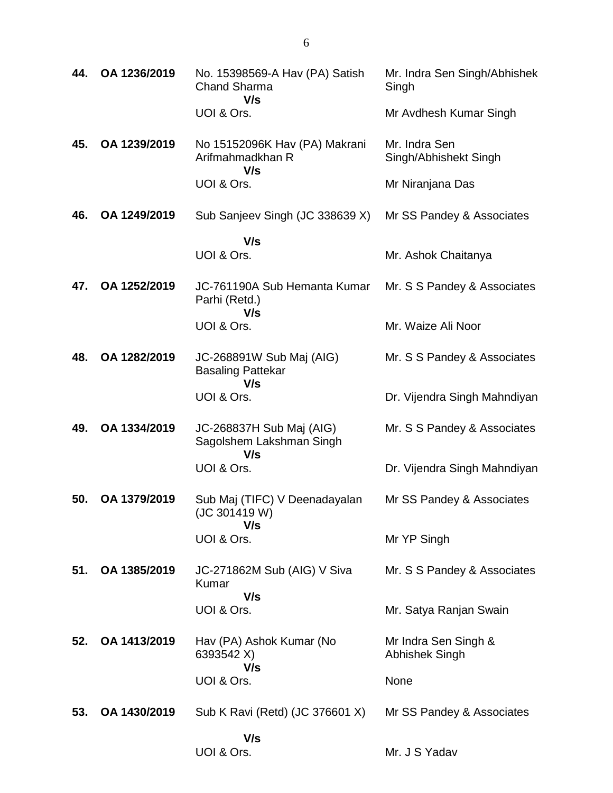| 44. | OA 1236/2019 | No. 15398569-A Hav (PA) Satish<br><b>Chand Sharma</b><br>V/s | Mr. Indra Sen Singh/Abhishek<br>Singh  |
|-----|--------------|--------------------------------------------------------------|----------------------------------------|
|     |              | UOI & Ors.                                                   | Mr Avdhesh Kumar Singh                 |
| 45. | OA 1239/2019 | No 15152096K Hav (PA) Makrani<br>Arifmahmadkhan R<br>V/s     | Mr. Indra Sen<br>Singh/Abhishekt Singh |
|     |              | UOI & Ors.                                                   | Mr Niranjana Das                       |
| 46. | OA 1249/2019 | Sub Sanjeev Singh (JC 338639 X)                              | Mr SS Pandey & Associates              |
|     |              | V/s                                                          |                                        |
|     |              | UOI & Ors.                                                   | Mr. Ashok Chaitanya                    |
| 47. | OA 1252/2019 | JC-761190A Sub Hemanta Kumar<br>Parhi (Retd.)<br>V/s         | Mr. S S Pandey & Associates            |
|     |              | UOI & Ors.                                                   | Mr. Waize Ali Noor                     |
| 48. | OA 1282/2019 | JC-268891W Sub Maj (AIG)<br><b>Basaling Pattekar</b><br>V/s  | Mr. S S Pandey & Associates            |
|     |              | UOI & Ors.                                                   | Dr. Vijendra Singh Mahndiyan           |
| 49. | OA 1334/2019 | JC-268837H Sub Maj (AIG)<br>Sagolshem Lakshman Singh<br>V/s  | Mr. S S Pandey & Associates            |
|     |              | UOI & Ors.                                                   | Dr. Vijendra Singh Mahndiyan           |
| 50. | OA 1379/2019 | Sub Maj (TIFC) V Deenadayalan<br>(JC 301419 W)<br>V/s        | Mr SS Pandey & Associates              |
|     |              | UOI & Ors.                                                   | Mr YP Singh                            |
| 51. | OA 1385/2019 | JC-271862M Sub (AIG) V Siva<br><b>Kumar</b>                  | Mr. S S Pandey & Associates            |
|     |              | V/s<br>UOI & Ors.                                            | Mr. Satya Ranjan Swain                 |
| 52. | OA 1413/2019 | Hav (PA) Ashok Kumar (No<br>6393542 X)<br>V/s                | Mr Indra Sen Singh &<br>Abhishek Singh |
|     |              | UOI & Ors.                                                   | None                                   |
| 53. | OA 1430/2019 | Sub K Ravi (Retd) (JC 376601 X)                              | Mr SS Pandey & Associates              |
|     |              | V/s                                                          |                                        |
|     |              | UOI & Ors.                                                   | Mr. J S Yadav                          |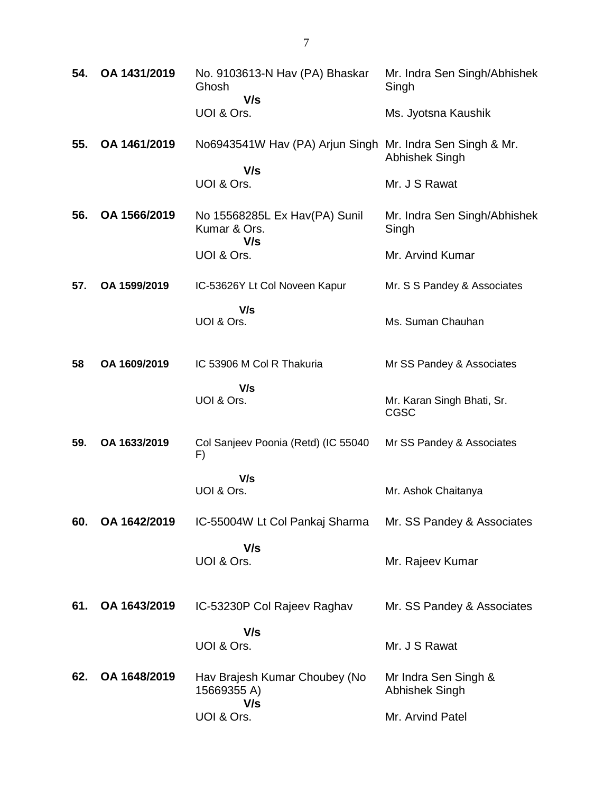| 54. | OA 1431/2019 | No. 9103613-N Hav (PA) Bhaskar<br>Ghosh<br>V/s                   | Mr. Indra Sen Singh/Abhishek<br>Singh     |
|-----|--------------|------------------------------------------------------------------|-------------------------------------------|
|     |              | UOI & Ors.                                                       | Ms. Jyotsna Kaushik                       |
| 55. | OA 1461/2019 | No6943541W Hav (PA) Arjun Singh Mr. Indra Sen Singh & Mr.<br>V/s | Abhishek Singh                            |
|     |              | UOI & Ors.                                                       | Mr. J S Rawat                             |
| 56. | OA 1566/2019 | No 15568285L Ex Hav(PA) Sunil<br>Kumar & Ors.<br>V/s             | Mr. Indra Sen Singh/Abhishek<br>Singh     |
|     |              | UOI & Ors.                                                       | Mr. Arvind Kumar                          |
| 57. | OA 1599/2019 | IC-53626Y Lt Col Noveen Kapur                                    | Mr. S S Pandey & Associates               |
|     |              | V/s<br>UOI & Ors.                                                | Ms. Suman Chauhan                         |
| 58  | OA 1609/2019 | IC 53906 M Col R Thakuria                                        | Mr SS Pandey & Associates                 |
|     |              | V/s<br>UOI & Ors.                                                | Mr. Karan Singh Bhati, Sr.<br><b>CGSC</b> |
| 59. | OA 1633/2019 | Col Sanjeev Poonia (Retd) (IC 55040<br>F)                        | Mr SS Pandey & Associates                 |
|     |              | V/s<br>UOI & Ors.                                                | Mr. Ashok Chaitanya                       |
| 60. | OA 1642/2019 | IC-55004W Lt Col Pankaj Sharma                                   | Mr. SS Pandey & Associates                |
|     |              | V/s<br>UOI & Ors.                                                | Mr. Rajeev Kumar                          |
| 61. | OA 1643/2019 | IC-53230P Col Rajeev Raghav                                      | Mr. SS Pandey & Associates                |
|     |              | V/s<br>UOI & Ors.                                                | Mr. J S Rawat                             |
| 62. | OA 1648/2019 | Hav Brajesh Kumar Choubey (No<br>15669355 A)                     | Mr Indra Sen Singh &<br>Abhishek Singh    |
|     |              | V/s<br>UOI & Ors.                                                | Mr. Arvind Patel                          |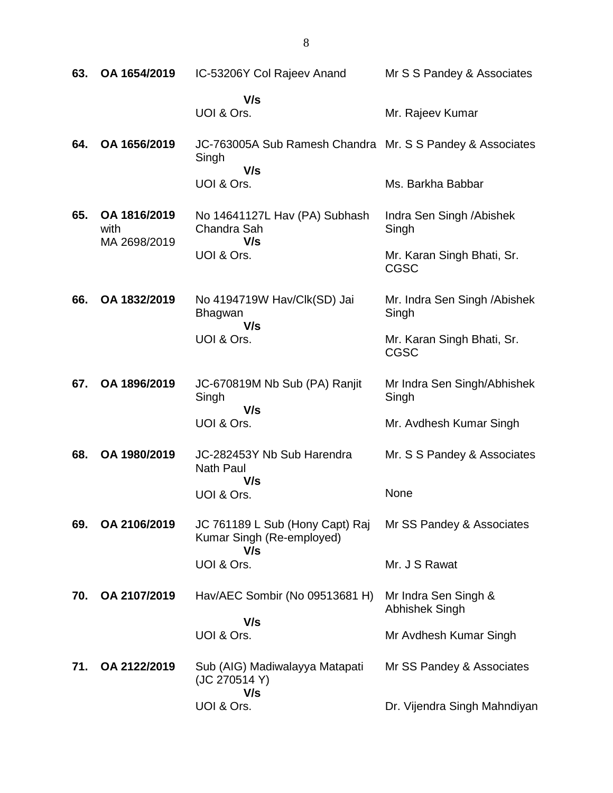| 63. | OA 1654/2019                         | IC-53206Y Col Rajeev Anand                                         | Mr S S Pandey & Associates                |
|-----|--------------------------------------|--------------------------------------------------------------------|-------------------------------------------|
|     |                                      | V/s<br>UOI & Ors.                                                  | Mr. Rajeev Kumar                          |
| 64. | OA 1656/2019                         | JC-763005A Sub Ramesh Chandra Mr. S S Pandey & Associates<br>Singh |                                           |
|     |                                      | V/s<br>UOI & Ors.                                                  | Ms. Barkha Babbar                         |
| 65. | OA 1816/2019<br>with<br>MA 2698/2019 | No 14641127L Hav (PA) Subhash<br>Chandra Sah<br>V/s                | Indra Sen Singh / Abishek<br>Singh        |
|     |                                      | UOI & Ors.                                                         | Mr. Karan Singh Bhati, Sr.<br><b>CGSC</b> |
| 66. | OA 1832/2019                         | No 4194719W Hav/Clk(SD) Jai<br><b>Bhagwan</b><br>V/s               | Mr. Indra Sen Singh / Abishek<br>Singh    |
|     |                                      | UOI & Ors.                                                         | Mr. Karan Singh Bhati, Sr.<br><b>CGSC</b> |
| 67. | OA 1896/2019                         | JC-670819M Nb Sub (PA) Ranjit<br>Singh<br>V/s                      | Mr Indra Sen Singh/Abhishek<br>Singh      |
|     |                                      | UOI & Ors.                                                         | Mr. Avdhesh Kumar Singh                   |
| 68. | OA 1980/2019                         | JC-282453Y Nb Sub Harendra<br><b>Nath Paul</b>                     | Mr. S S Pandey & Associates               |
|     |                                      | V/s<br>UOI & Ors.                                                  | None                                      |
| 69. | OA 2106/2019                         | JC 761189 L Sub (Hony Capt) Raj<br>Kumar Singh (Re-employed)       | Mr SS Pandey & Associates                 |
|     |                                      | V/s<br>UOI & Ors.                                                  | Mr. J S Rawat                             |
| 70. | OA 2107/2019                         | Hav/AEC Sombir (No 09513681 H)                                     | Mr Indra Sen Singh &<br>Abhishek Singh    |
|     |                                      | V/s<br>UOI & Ors.                                                  | Mr Avdhesh Kumar Singh                    |
| 71. | OA 2122/2019                         | Sub (AIG) Madiwalayya Matapati<br>(JC 270514 Y)                    | Mr SS Pandey & Associates                 |
|     |                                      | V/s<br>UOI & Ors.                                                  | Dr. Vijendra Singh Mahndiyan              |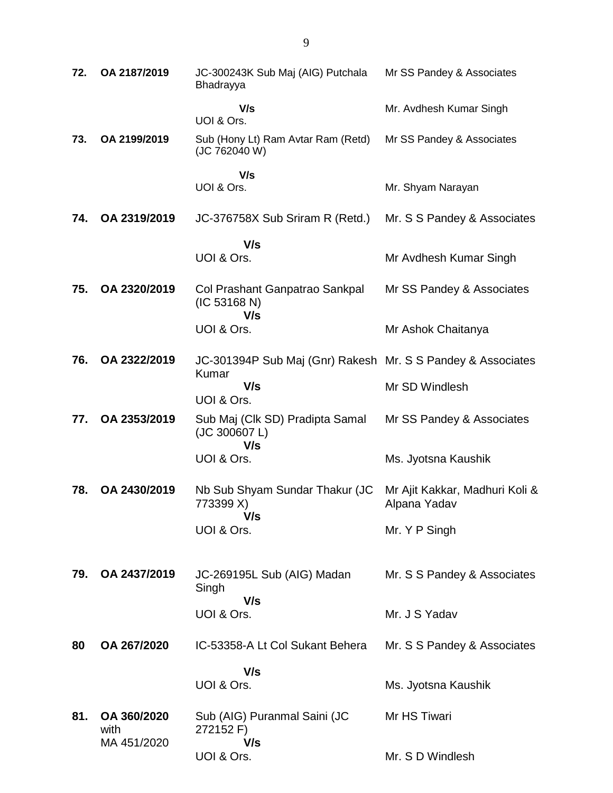| 72. | OA 2187/2019                       | JC-300243K Sub Maj (AIG) Putchala<br>Bhadrayya                       | Mr SS Pandey & Associates                      |
|-----|------------------------------------|----------------------------------------------------------------------|------------------------------------------------|
|     |                                    | V/s<br>UOI & Ors.                                                    | Mr. Avdhesh Kumar Singh                        |
| 73. | OA 2199/2019                       | Sub (Hony Lt) Ram Avtar Ram (Retd)<br>(JC 762040 W)                  | Mr SS Pandey & Associates                      |
|     |                                    | V/s<br>UOI & Ors.                                                    | Mr. Shyam Narayan                              |
| 74. | OA 2319/2019                       | JC-376758X Sub Sriram R (Retd.)                                      | Mr. S S Pandey & Associates                    |
|     |                                    | V/s                                                                  |                                                |
|     |                                    | UOI & Ors.                                                           | Mr Avdhesh Kumar Singh                         |
| 75. | OA 2320/2019                       | Col Prashant Ganpatrao Sankpal<br>(IC 53168 N)<br>V/s                | Mr SS Pandey & Associates                      |
|     |                                    | UOI & Ors.                                                           | Mr Ashok Chaitanya                             |
| 76. | OA 2322/2019                       | JC-301394P Sub Maj (Gnr) Rakesh Mr. S S Pandey & Associates<br>Kumar |                                                |
|     |                                    | V/s<br>UOI & Ors.                                                    | Mr SD Windlesh                                 |
| 77. | OA 2353/2019                       | Sub Maj (Clk SD) Pradipta Samal<br>(JC 300607 L)<br>V/s              | Mr SS Pandey & Associates                      |
|     |                                    | UOI & Ors.                                                           | Ms. Jyotsna Kaushik                            |
| 78. | OA 2430/2019                       | Nb Sub Shyam Sundar Thakur (JC<br>773399 X)<br>V/s                   | Mr Ajit Kakkar, Madhuri Koli &<br>Alpana Yadav |
|     |                                    | UOI & Ors.                                                           | Mr. Y P Singh                                  |
| 79. | OA 2437/2019                       | JC-269195L Sub (AIG) Madan<br>Singh<br>V/s                           | Mr. S S Pandey & Associates                    |
|     |                                    | UOI & Ors.                                                           | Mr. J S Yadav                                  |
| 80  | OA 267/2020                        | IC-53358-A Lt Col Sukant Behera                                      | Mr. S S Pandey & Associates                    |
|     |                                    | V/s                                                                  |                                                |
|     |                                    | UOI & Ors.                                                           | Ms. Jyotsna Kaushik                            |
| 81. | OA 360/2020<br>with<br>MA 451/2020 | Sub (AIG) Puranmal Saini (JC<br>272152 F)<br>V/s                     | Mr HS Tiwari                                   |
|     |                                    | UOI & Ors.                                                           | Mr. S D Windlesh                               |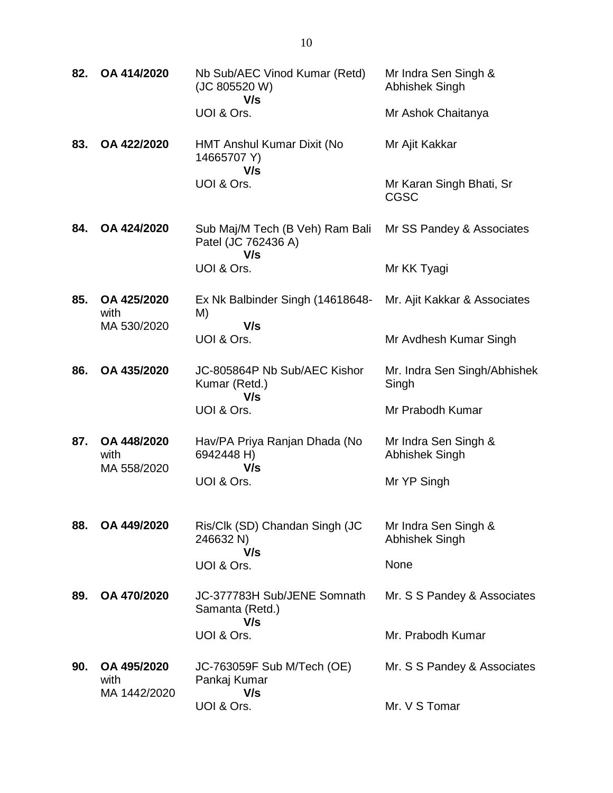| 82. | OA 414/2020                         | Nb Sub/AEC Vinod Kumar (Retd)<br>(JC 805520 W)<br>V/s         | Mr Indra Sen Singh &<br>Abhishek Singh  |
|-----|-------------------------------------|---------------------------------------------------------------|-----------------------------------------|
|     |                                     | UOI & Ors.                                                    | Mr Ashok Chaitanya                      |
| 83. | OA 422/2020                         | HMT Anshul Kumar Dixit (No<br>14665707 Y)<br>V/s              | Mr Ajit Kakkar                          |
|     |                                     | UOI & Ors.                                                    | Mr Karan Singh Bhati, Sr<br><b>CGSC</b> |
| 84. | OA 424/2020                         | Sub Maj/M Tech (B Veh) Ram Bali<br>Patel (JC 762436 A)<br>V/s | Mr SS Pandey & Associates               |
|     |                                     | UOI & Ors.                                                    | Mr KK Tyagi                             |
| 85. | OA 425/2020<br>with<br>MA 530/2020  | Ex Nk Balbinder Singh (14618648-<br>M)<br>V/s                 | Mr. Ajit Kakkar & Associates            |
|     |                                     | UOI & Ors.                                                    | Mr Avdhesh Kumar Singh                  |
| 86. | OA 435/2020                         | JC-805864P Nb Sub/AEC Kishor<br>Kumar (Retd.)<br>V/s          | Mr. Indra Sen Singh/Abhishek<br>Singh   |
|     |                                     | UOI & Ors.                                                    | Mr Prabodh Kumar                        |
| 87. | OA 448/2020<br>with<br>MA 558/2020  | Hav/PA Priya Ranjan Dhada (No<br>6942448 H)<br>V/s            | Mr Indra Sen Singh &<br>Abhishek Singh  |
|     |                                     | UOI & Ors.                                                    | Mr YP Singh                             |
| 88. | OA 449/2020                         | Ris/Clk (SD) Chandan Singh (JC<br>246632 N)<br>V/s            | Mr Indra Sen Singh &<br>Abhishek Singh  |
|     |                                     | UOI & Ors.                                                    | None                                    |
| 89. | OA 470/2020                         | JC-377783H Sub/JENE Somnath<br>Samanta (Retd.)<br>V/s         | Mr. S S Pandey & Associates             |
|     |                                     | UOI & Ors.                                                    | Mr. Prabodh Kumar                       |
| 90. | OA 495/2020<br>with<br>MA 1442/2020 | JC-763059F Sub M/Tech (OE)<br>Pankaj Kumar<br>V/s             | Mr. S S Pandey & Associates             |
|     |                                     | UOI & Ors.                                                    | Mr. V S Tomar                           |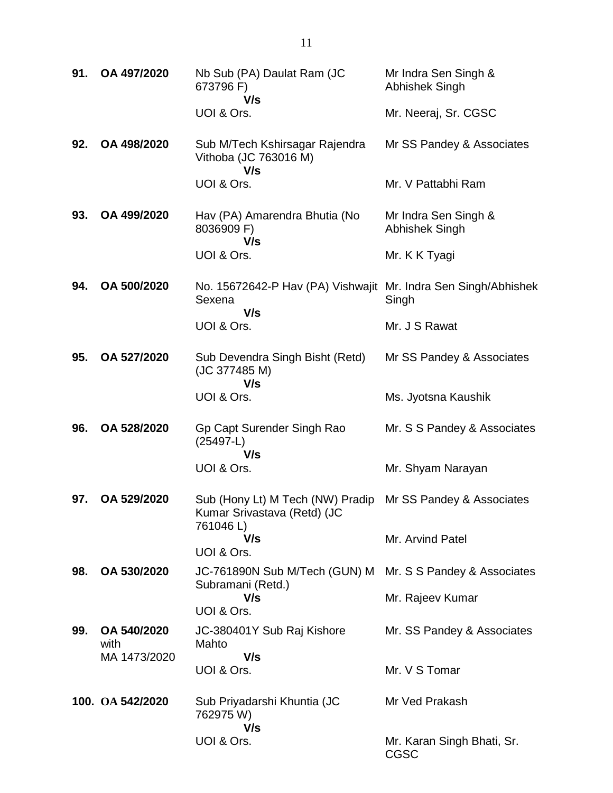| 91. | OA 497/2020         | Nb Sub (PA) Daulat Ram (JC<br>673796 F)<br>V/s                                                        | Mr Indra Sen Singh &<br>Abhishek Singh    |
|-----|---------------------|-------------------------------------------------------------------------------------------------------|-------------------------------------------|
|     |                     | UOI & Ors.                                                                                            | Mr. Neeraj, Sr. CGSC                      |
| 92. | OA 498/2020         | Sub M/Tech Kshirsagar Rajendra<br>Vithoba (JC 763016 M)<br>V/s                                        | Mr SS Pandey & Associates                 |
|     |                     | UOI & Ors.                                                                                            | Mr. V Pattabhi Ram                        |
| 93. | OA 499/2020         | Hav (PA) Amarendra Bhutia (No<br>8036909 F)<br>V/s                                                    | Mr Indra Sen Singh &<br>Abhishek Singh    |
|     |                     | UOI & Ors.                                                                                            | Mr. K K Tyagi                             |
| 94. | OA 500/2020         | No. 15672642-P Hav (PA) Vishwajit Mr. Indra Sen Singh/Abhishek<br>Sexena<br>V/s                       | Singh                                     |
|     |                     | UOI & Ors.                                                                                            | Mr. J S Rawat                             |
| 95. | OA 527/2020         | Sub Devendra Singh Bisht (Retd)<br>(JC 377485 M)<br>V/s                                               | Mr SS Pandey & Associates                 |
|     |                     | UOI & Ors.                                                                                            | Ms. Jyotsna Kaushik                       |
| 96. | OA 528/2020         | Gp Capt Surender Singh Rao<br>$(25497-L)$<br>V/s                                                      | Mr. S S Pandey & Associates               |
|     |                     | UOI & Ors.                                                                                            | Mr. Shyam Narayan                         |
| 97. | OA 529/2020         | Sub (Hony Lt) M Tech (NW) Pradip Mr SS Pandey & Associates<br>Kumar Srivastava (Retd) (JC<br>761046L) |                                           |
|     |                     | V/s<br>UOI & Ors.                                                                                     | Mr. Arvind Patel                          |
| 98. | OA 530/2020         | JC-761890N Sub M/Tech (GUN) M                                                                         | Mr. S S Pandey & Associates               |
|     |                     | Subramani (Retd.)<br>V/s<br>UOI & Ors.                                                                | Mr. Rajeev Kumar                          |
| 99. | OA 540/2020<br>with | JC-380401Y Sub Raj Kishore<br>Mahto                                                                   | Mr. SS Pandey & Associates                |
|     | MA 1473/2020        | V/s<br>UOI & Ors.                                                                                     | Mr. V S Tomar                             |
|     | 100. OA 542/2020    | Sub Priyadarshi Khuntia (JC<br>762975 W)<br>V/s                                                       | Mr Ved Prakash                            |
|     |                     | UOI & Ors.                                                                                            | Mr. Karan Singh Bhati, Sr.<br><b>CGSC</b> |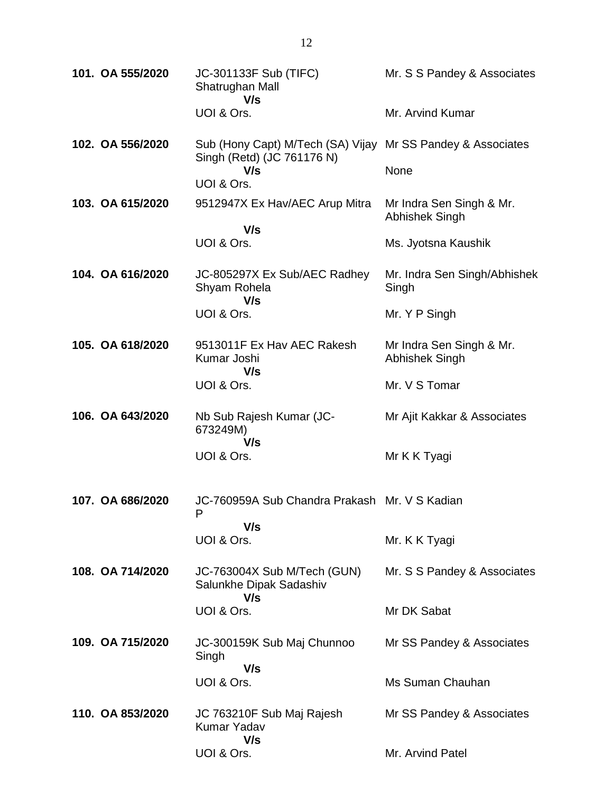| 101. OA 555/2020 | JC-301133F Sub (TIFC)<br>Shatrughan Mall<br>V/s                                           | Mr. S S Pandey & Associates                |
|------------------|-------------------------------------------------------------------------------------------|--------------------------------------------|
|                  | UOI & Ors.                                                                                | Mr. Arvind Kumar                           |
| 102. OA 556/2020 | Sub (Hony Capt) M/Tech (SA) Vijay Mr SS Pandey & Associates<br>Singh (Retd) (JC 761176 N) |                                            |
|                  | V/s<br>UOI & Ors.                                                                         | None                                       |
| 103. OA 615/2020 | 9512947X Ex Hav/AEC Arup Mitra                                                            | Mr Indra Sen Singh & Mr.<br>Abhishek Singh |
|                  | V/s                                                                                       |                                            |
|                  | UOI & Ors.                                                                                | Ms. Jyotsna Kaushik                        |
| 104. OA 616/2020 | JC-805297X Ex Sub/AEC Radhey<br>Shyam Rohela<br>V/s                                       | Mr. Indra Sen Singh/Abhishek<br>Singh      |
|                  | UOI & Ors.                                                                                | Mr. Y P Singh                              |
| 105. OA 618/2020 | 9513011F Ex Hav AEC Rakesh<br>Kumar Joshi<br>V/s                                          | Mr Indra Sen Singh & Mr.<br>Abhishek Singh |
|                  | UOI & Ors.                                                                                | Mr. V S Tomar                              |
| 106. OA 643/2020 | Nb Sub Rajesh Kumar (JC-<br>673249M)                                                      | Mr Ajit Kakkar & Associates                |
|                  | V/s<br>UOI & Ors.                                                                         | Mr K K Tyagi                               |
| 107. OA 686/2020 | JC-760959A Sub Chandra Prakash Mr. V S Kadian<br>P                                        |                                            |
|                  | V/s<br>UOI & Ors.                                                                         | Mr. K K Tyagi                              |
| 108. OA 714/2020 | JC-763004X Sub M/Tech (GUN)<br>Salunkhe Dipak Sadashiv<br>V/s                             | Mr. S S Pandey & Associates                |
|                  | UOI & Ors.                                                                                | Mr DK Sabat                                |
| 109. OA 715/2020 | JC-300159K Sub Maj Chunnoo<br>Singh                                                       | Mr SS Pandey & Associates                  |
|                  | V/s<br>UOI & Ors.                                                                         | Ms Suman Chauhan                           |
| 110. OA 853/2020 | JC 763210F Sub Maj Rajesh<br>Kumar Yadav<br>V/s                                           | Mr SS Pandey & Associates                  |
|                  | UOI & Ors.                                                                                | Mr. Arvind Patel                           |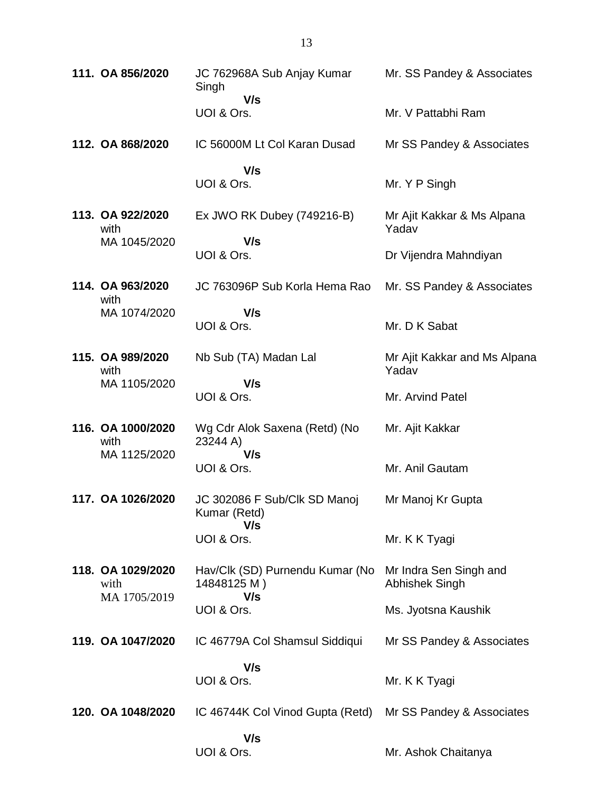| 111. OA 856/2020          | JC 762968A Sub Anjay Kumar<br>Singh                   | Mr. SS Pandey & Associates               |
|---------------------------|-------------------------------------------------------|------------------------------------------|
|                           | V/s<br>UOI & Ors.                                     | Mr. V Pattabhi Ram                       |
| 112. OA 868/2020          | IC 56000M Lt Col Karan Dusad                          | Mr SS Pandey & Associates                |
|                           | V/s<br>UOI & Ors.                                     | Mr. Y P Singh                            |
| 113. OA 922/2020<br>with  | Ex JWO RK Dubey (749216-B)                            | Mr Ajit Kakkar & Ms Alpana<br>Yadav      |
| MA 1045/2020              | V/s<br>UOI & Ors.                                     | Dr Vijendra Mahndiyan                    |
| 114. OA 963/2020<br>with  | JC 763096P Sub Korla Hema Rao                         | Mr. SS Pandey & Associates               |
| MA 1074/2020              | V/s<br>UOI & Ors.                                     | Mr. D K Sabat                            |
| 115. OA 989/2020<br>with  | Nb Sub (TA) Madan Lal                                 | Mr Ajit Kakkar and Ms Alpana<br>Yadav    |
| MA 1105/2020              | V/s<br>UOI & Ors.                                     | Mr. Arvind Patel                         |
| 116. OA 1000/2020<br>with | Wg Cdr Alok Saxena (Retd) (No<br>23244 A)             | Mr. Ajit Kakkar                          |
| MA 1125/2020              | V/s<br>UOI & Ors.                                     | Mr. Anil Gautam                          |
| 117. OA 1026/2020         | JC 302086 F Sub/Clk SD Manoj<br>Kumar (Retd)          | Mr Manoj Kr Gupta                        |
|                           | V/s<br>UOI & Ors.                                     | Mr. K K Tyagi                            |
| 118. OA 1029/2020<br>with | Hav/Clk (SD) Purnendu Kumar (No<br>14848125 M)<br>V/s | Mr Indra Sen Singh and<br>Abhishek Singh |
| MA 1705/2019              | UOI & Ors.                                            | Ms. Jyotsna Kaushik                      |
| 119. OA 1047/2020         | IC 46779A Col Shamsul Siddiqui                        | Mr SS Pandey & Associates                |
|                           | V/s<br>UOI & Ors.                                     | Mr. K K Tyagi                            |
| 120. OA 1048/2020         | IC 46744K Col Vinod Gupta (Retd)                      | Mr SS Pandey & Associates                |
|                           | V/s<br>UOI & Ors.                                     | Mr. Ashok Chaitanya                      |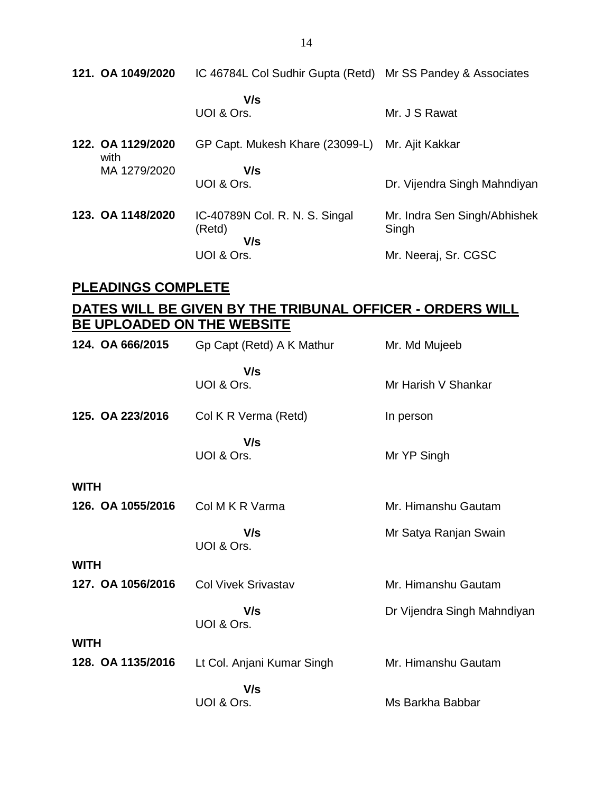**121. OA 1049/2020** IC 46784L Col Sudhir Gupta (Retd) Mr SS Pandey & Associates

 **V/s** UOI & Ors. Mr. J S Rawat

**122. OA 1129/2020** with MA 1279/2020 GP Capt. Mukesh Khare (23099-L) Mr. Ajit Kakkar  **V/s** UOI & Ors. Dr. Vijendra Singh Mahndiyan **123. OA 1148/2020** IC-40789N Col. R. N. S. Singal (Retd)  **V/s** UOI & Ors. Mr. Indra Sen Singh/Abhishek Singh Mr. Neeraj, Sr. CGSC

### **PLEADINGS COMPLETE**

## **DATES WILL BE GIVEN BY THE TRIBUNAL OFFICER - ORDERS WILL BE UPLOADED ON THE WEBSITE**

| 124. OA 666/2015  | Gp Capt (Retd) A K Mathur  | Mr. Md Mujeeb               |
|-------------------|----------------------------|-----------------------------|
|                   | V/s<br>UOI & Ors.          | Mr Harish V Shankar         |
| 125. OA 223/2016  | Col K R Verma (Retd)       | In person                   |
|                   | V/s<br>UOI & Ors.          | Mr YP Singh                 |
| <b>WITH</b>       |                            |                             |
| 126. OA 1055/2016 | Col M K R Varma            | Mr. Himanshu Gautam         |
|                   | V/s<br>UOI & Ors.          | Mr Satya Ranjan Swain       |
| <b>WITH</b>       |                            |                             |
| 127. OA 1056/2016 | <b>Col Vivek Srivastav</b> | Mr. Himanshu Gautam         |
|                   | V/s<br>UOI & Ors.          | Dr Vijendra Singh Mahndiyan |
| <b>WITH</b>       |                            |                             |
| 128. OA 1135/2016 | Lt Col. Anjani Kumar Singh | Mr. Himanshu Gautam         |
|                   | V/s                        |                             |
|                   | UOI & Ors.                 | Ms Barkha Babbar            |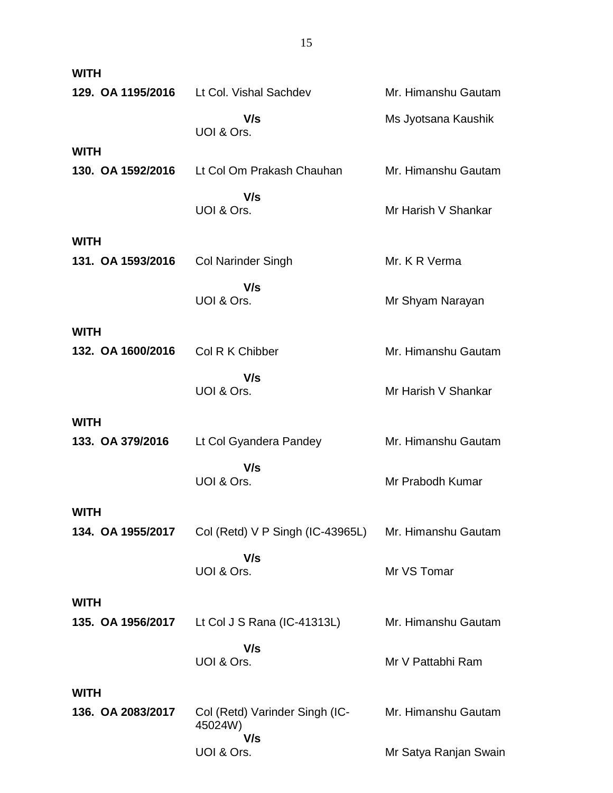| <b>WITH</b>       |                                                      |                       |
|-------------------|------------------------------------------------------|-----------------------|
| 129. OA 1195/2016 | Lt Col. Vishal Sachdev                               | Mr. Himanshu Gautam   |
|                   | V/s<br>UOI & Ors.                                    | Ms Jyotsana Kaushik   |
| <b>WITH</b>       |                                                      |                       |
| 130. OA 1592/2016 | Lt Col Om Prakash Chauhan                            | Mr. Himanshu Gautam   |
|                   | V/s<br>UOI & Ors.                                    | Mr Harish V Shankar   |
| <b>WITH</b>       |                                                      |                       |
| 131. OA 1593/2016 | <b>Col Narinder Singh</b>                            | Mr. K R Verma         |
|                   | V/s<br>UOI & Ors.                                    | Mr Shyam Narayan      |
| <b>WITH</b>       |                                                      |                       |
| 132. OA 1600/2016 | Col R K Chibber                                      | Mr. Himanshu Gautam   |
|                   | V/s<br>UOI & Ors.                                    | Mr Harish V Shankar   |
| <b>WITH</b>       |                                                      |                       |
| 133. OA 379/2016  | Lt Col Gyandera Pandey                               | Mr. Himanshu Gautam   |
|                   | V/s<br>UOI & Ors.                                    | Mr Prabodh Kumar      |
| <b>WITH</b>       |                                                      |                       |
| 134. OA 1955/2017 | Col (Retd) V P Singh (IC-43965L) Mr. Himanshu Gautam |                       |
|                   | V/s<br>UOI & Ors.                                    | Mr VS Tomar           |
| <b>WITH</b>       |                                                      |                       |
| 135. OA 1956/2017 | Lt Col J S Rana (IC-41313L)                          | Mr. Himanshu Gautam   |
|                   | V/s<br>UOI & Ors.                                    | Mr V Pattabhi Ram     |
| <b>WITH</b>       |                                                      |                       |
| 136. OA 2083/2017 | Col (Retd) Varinder Singh (IC-<br>45024W)            | Mr. Himanshu Gautam   |
|                   | V/s<br>UOI & Ors.                                    | Mr Satya Ranjan Swain |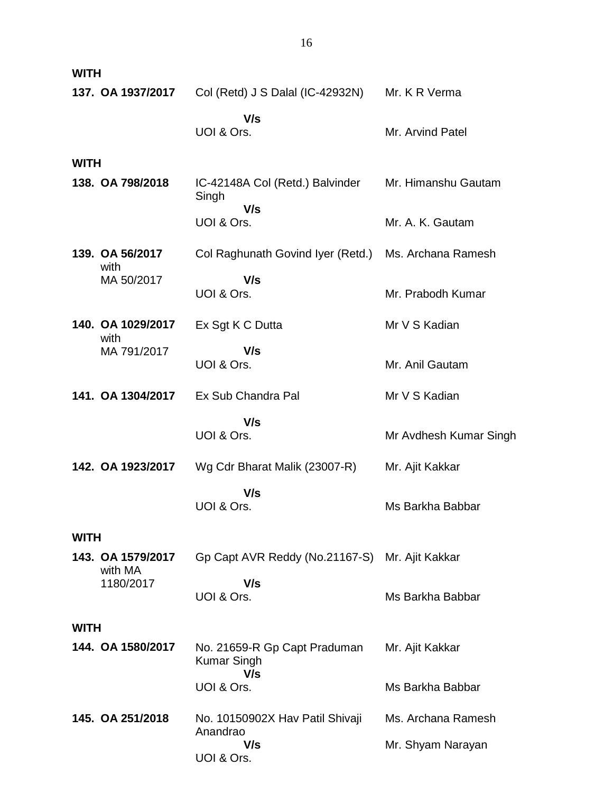| <b>WITH</b>                  |                                                           |                        |
|------------------------------|-----------------------------------------------------------|------------------------|
| 137. OA 1937/2017            | Col (Retd) J S Dalal (IC-42932N)                          | Mr. K R Verma          |
|                              | V/s<br>UOI & Ors.                                         | Mr. Arvind Patel       |
| <b>WITH</b>                  |                                                           |                        |
| 138. OA 798/2018             | IC-42148A Col (Retd.) Balvinder<br>Singh<br>V/s           | Mr. Himanshu Gautam    |
|                              | UOI & Ors.                                                | Mr. A. K. Gautam       |
| 139. OA 56/2017<br>with      | Col Raghunath Govind Iyer (Retd.) Ms. Archana Ramesh      |                        |
| MA 50/2017                   | V/s<br>UOI & Ors.                                         | Mr. Prabodh Kumar      |
| 140. OA 1029/2017<br>with    | Ex Sgt K C Dutta                                          | Mr V S Kadian          |
| MA 791/2017                  | V/s<br>UOI & Ors.                                         | Mr. Anil Gautam        |
| 141. OA 1304/2017            | Ex Sub Chandra Pal                                        | Mr V S Kadian          |
|                              | V/s<br>UOI & Ors.                                         | Mr Avdhesh Kumar Singh |
| 142. OA 1923/2017            | Wg Cdr Bharat Malik (23007-R)                             | Mr. Ajit Kakkar        |
|                              | V/s<br>UOI & Ors.                                         | Ms Barkha Babbar       |
| <b>WITH</b>                  |                                                           |                        |
| 143. OA 1579/2017<br>with MA | Gp Capt AVR Reddy (No.21167-S) Mr. Ajit Kakkar            |                        |
| 1180/2017                    | V/s<br>UOI & Ors.                                         | Ms Barkha Babbar       |
| <b>WITH</b>                  |                                                           |                        |
| 144. OA 1580/2017            | No. 21659-R Gp Capt Praduman<br><b>Kumar Singh</b><br>V/s | Mr. Ajit Kakkar        |
|                              | UOI & Ors.                                                | Ms Barkha Babbar       |
| 145. OA 251/2018             | No. 10150902X Hav Patil Shivaji<br>Anandrao               | Ms. Archana Ramesh     |
|                              | V/s<br>UOI & Ors.                                         | Mr. Shyam Narayan      |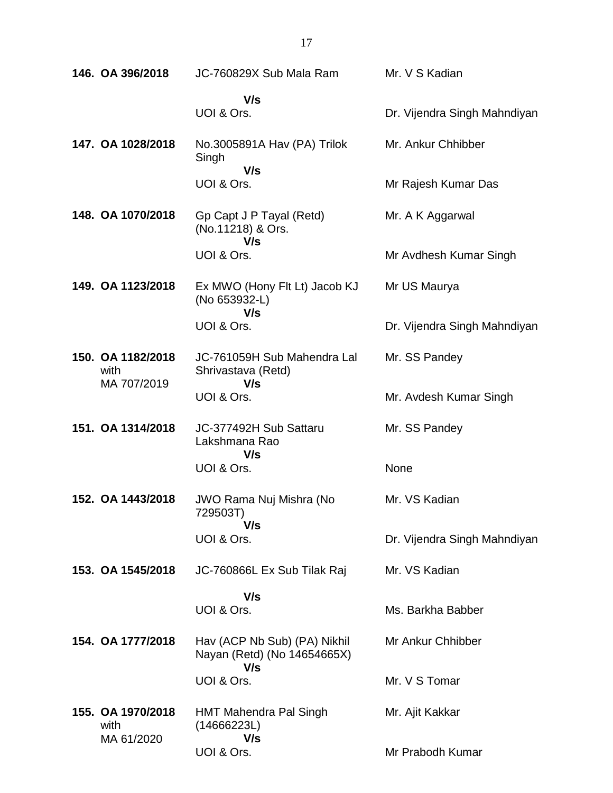| 146. OA 396/2018                         | JC-760829X Sub Mala Ram                                            | Mr. V S Kadian               |
|------------------------------------------|--------------------------------------------------------------------|------------------------------|
|                                          | V/s<br>UOI & Ors.                                                  | Dr. Vijendra Singh Mahndiyan |
| 147. OA 1028/2018                        | No.3005891A Hav (PA) Trilok<br>Singh<br>V/s                        | Mr. Ankur Chhibber           |
|                                          | UOI & Ors.                                                         | Mr Rajesh Kumar Das          |
| 148. OA 1070/2018                        | Gp Capt J P Tayal (Retd)<br>(No.11218) & Ors.<br>V/s               | Mr. A K Aggarwal             |
|                                          | UOI & Ors.                                                         | Mr Avdhesh Kumar Singh       |
| 149. OA 1123/2018                        | Ex MWO (Hony Flt Lt) Jacob KJ<br>(No 653932-L)<br>V/s              | Mr US Maurya                 |
|                                          | UOI & Ors.                                                         | Dr. Vijendra Singh Mahndiyan |
| 150. OA 1182/2018<br>with<br>MA 707/2019 | JC-761059H Sub Mahendra Lal<br>Shrivastava (Retd)<br>V/s           | Mr. SS Pandey                |
|                                          | UOI & Ors.                                                         | Mr. Avdesh Kumar Singh       |
| 151. OA 1314/2018                        | JC-377492H Sub Sattaru<br>Lakshmana Rao                            | Mr. SS Pandey                |
|                                          | V/s<br>UOI & Ors.                                                  | None                         |
| 152. OA 1443/2018                        | <b>JWO Rama Nuj Mishra (No</b><br>729503T)                         | Mr. VS Kadian                |
|                                          | V/s<br>UOI & Ors.                                                  | Dr. Vijendra Singh Mahndiyan |
| 153. OA 1545/2018                        | JC-760866L Ex Sub Tilak Raj                                        | Mr. VS Kadian                |
|                                          | V/s                                                                |                              |
|                                          | UOI & Ors.                                                         | Ms. Barkha Babber            |
| 154. OA 1777/2018                        | Hav (ACP Nb Sub) (PA) Nikhil<br>Nayan (Retd) (No 14654665X)<br>V/s | Mr Ankur Chhibber            |
|                                          | UOI & Ors.                                                         | Mr. V S Tomar                |
| 155. OA 1970/2018<br>with<br>MA 61/2020  | <b>HMT Mahendra Pal Singh</b><br>(14666223L)<br>V/s                | Mr. Ajit Kakkar              |
|                                          | UOI & Ors.                                                         | Mr Prabodh Kumar             |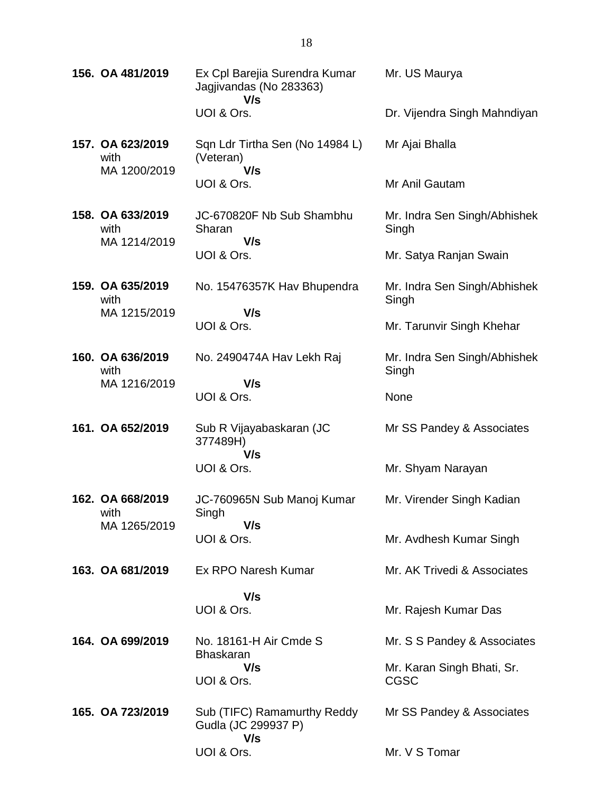| 156. OA 481/2019                         | Ex Cpl Barejia Surendra Kumar<br>Jagjivandas (No 283363)<br>V/s | Mr. US Maurya                             |
|------------------------------------------|-----------------------------------------------------------------|-------------------------------------------|
|                                          | UOI & Ors.                                                      | Dr. Vijendra Singh Mahndiyan              |
| 157. OA 623/2019<br>with<br>MA 1200/2019 | Sqn Ldr Tirtha Sen (No 14984 L)<br>(Veteran)<br>V/s             | Mr Ajai Bhalla                            |
|                                          | UOI & Ors.                                                      | Mr Anil Gautam                            |
| 158. OA 633/2019<br>with<br>MA 1214/2019 | JC-670820F Nb Sub Shambhu<br>Sharan<br>V/s                      | Mr. Indra Sen Singh/Abhishek<br>Singh     |
|                                          | UOI & Ors.                                                      | Mr. Satya Ranjan Swain                    |
| 159. OA 635/2019<br>with<br>MA 1215/2019 | No. 15476357K Hav Bhupendra<br>V/s                              | Mr. Indra Sen Singh/Abhishek<br>Singh     |
|                                          | UOI & Ors.                                                      | Mr. Tarunvir Singh Khehar                 |
| 160. OA 636/2019<br>with<br>MA 1216/2019 | No. 2490474A Hav Lekh Raj<br>V/s                                | Mr. Indra Sen Singh/Abhishek<br>Singh     |
|                                          | UOI & Ors.                                                      | None                                      |
| 161. OA 652/2019                         | Sub R Vijayabaskaran (JC<br>377489H)<br>V/s                     | Mr SS Pandey & Associates                 |
|                                          | UOI & Ors.                                                      | Mr. Shyam Narayan                         |
| 162. OA 668/2019<br>with                 | JC-760965N Sub Manoj Kumar<br>Singh                             | Mr. Virender Singh Kadian                 |
| MA 1265/2019                             | V/s<br>UOI & Ors.                                               | Mr. Avdhesh Kumar Singh                   |
| 163. OA 681/2019                         | Ex RPO Naresh Kumar                                             | Mr. AK Trivedi & Associates               |
|                                          | V/s                                                             |                                           |
|                                          | UOI & Ors.                                                      | Mr. Rajesh Kumar Das                      |
| 164. OA 699/2019                         | No. 18161-H Air Cmde S<br><b>Bhaskaran</b>                      | Mr. S S Pandey & Associates               |
|                                          | V/s<br>UOI & Ors.                                               | Mr. Karan Singh Bhati, Sr.<br><b>CGSC</b> |
| 165. OA 723/2019                         | Sub (TIFC) Ramamurthy Reddy<br>Gudla (JC 299937 P)<br>V/s       | Mr SS Pandey & Associates                 |
|                                          | UOI & Ors.                                                      | Mr. V S Tomar                             |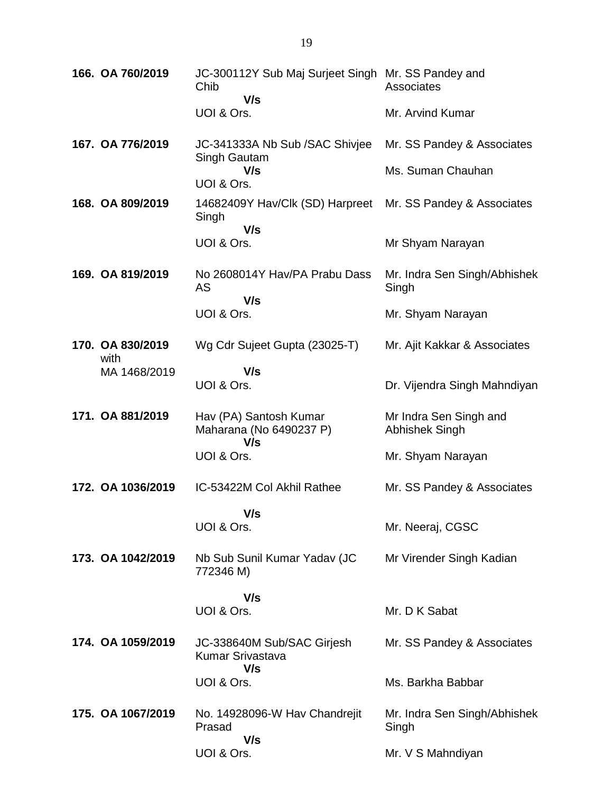| 166. OA 760/2019 |                          | JC-300112Y Sub Maj Surjeet Singh Mr. SS Pandey and<br>Chib<br>V/s | Associates                               |
|------------------|--------------------------|-------------------------------------------------------------------|------------------------------------------|
|                  |                          | UOI & Ors.                                                        | Mr. Arvind Kumar                         |
|                  | 167. OA 776/2019         | JC-341333A Nb Sub /SAC Shivjee                                    | Mr. SS Pandey & Associates               |
|                  |                          | Singh Gautam<br>V/s<br>UOI & Ors.                                 | Ms. Suman Chauhan                        |
|                  | 168. OA 809/2019         | 14682409Y Hav/Clk (SD) Harpreet<br>Singh<br>V/s                   | Mr. SS Pandey & Associates               |
|                  |                          | UOI & Ors.                                                        | Mr Shyam Narayan                         |
|                  | 169. OA 819/2019         | No 2608014Y Hav/PA Prabu Dass<br>AS<br>V/s                        | Mr. Indra Sen Singh/Abhishek<br>Singh    |
|                  |                          | UOI & Ors.                                                        | Mr. Shyam Narayan                        |
|                  | 170. OA 830/2019<br>with | Wg Cdr Sujeet Gupta (23025-T)                                     | Mr. Ajit Kakkar & Associates             |
|                  | MA 1468/2019             | V/s<br>UOI & Ors.                                                 | Dr. Vijendra Singh Mahndiyan             |
|                  | 171. OA 881/2019         | Hav (PA) Santosh Kumar<br>Maharana (No 6490237 P)<br>V/s          | Mr Indra Sen Singh and<br>Abhishek Singh |
|                  |                          | UOI & Ors.                                                        | Mr. Shyam Narayan                        |
|                  | 172. OA 1036/2019        | IC-53422M Col Akhil Rathee                                        | Mr. SS Pandey & Associates               |
|                  |                          | V/s<br>UOI & Ors.                                                 | Mr. Neeraj, CGSC                         |
|                  | 173. OA 1042/2019        | Nb Sub Sunil Kumar Yadav (JC<br>772346 M)                         | Mr Virender Singh Kadian                 |
|                  |                          | V/s<br>UOI & Ors.                                                 | Mr. D K Sabat                            |
|                  |                          |                                                                   |                                          |
|                  | 174. OA 1059/2019        | JC-338640M Sub/SAC Girjesh<br>Kumar Srivastava<br>V/s             | Mr. SS Pandey & Associates               |
|                  |                          | UOI & Ors.                                                        | Ms. Barkha Babbar                        |
|                  | 175. OA 1067/2019        | No. 14928096-W Hav Chandrejit<br>Prasad<br>V/s                    | Mr. Indra Sen Singh/Abhishek<br>Singh    |
|                  |                          | UOI & Ors.                                                        | Mr. V S Mahndiyan                        |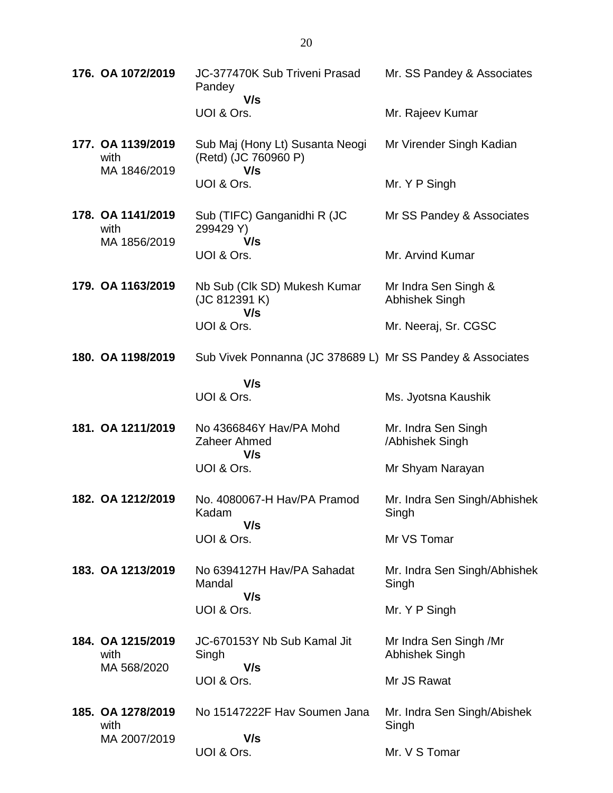| 176. OA 1072/2019                         | JC-377470K Sub Triveni Prasad<br>Pandey<br>V/s                 | Mr. SS Pandey & Associates               |
|-------------------------------------------|----------------------------------------------------------------|------------------------------------------|
|                                           | UOI & Ors.                                                     | Mr. Rajeev Kumar                         |
| 177. OA 1139/2019<br>with<br>MA 1846/2019 | Sub Maj (Hony Lt) Susanta Neogi<br>(Retd) (JC 760960 P)<br>V/s | Mr Virender Singh Kadian                 |
|                                           | UOI & Ors.                                                     | Mr. Y P Singh                            |
| 178. OA 1141/2019<br>with<br>MA 1856/2019 | Sub (TIFC) Ganganidhi R (JC<br>299429 Y)<br>V/s                | Mr SS Pandey & Associates                |
|                                           | UOI & Ors.                                                     | Mr. Arvind Kumar                         |
| 179. OA 1163/2019                         | Nb Sub (Clk SD) Mukesh Kumar<br>(JC 812391 K)<br>V/s           | Mr Indra Sen Singh &<br>Abhishek Singh   |
|                                           | UOI & Ors.                                                     | Mr. Neeraj, Sr. CGSC                     |
| 180. OA 1198/2019                         | Sub Vivek Ponnanna (JC 378689 L) Mr SS Pandey & Associates     |                                          |
|                                           | V/s<br>UOI & Ors.                                              | Ms. Jyotsna Kaushik                      |
| 181. OA 1211/2019                         | No 4366846Y Hav/PA Mohd<br>Zaheer Ahmed<br>V/s                 | Mr. Indra Sen Singh<br>/Abhishek Singh   |
|                                           | UOI & Ors.                                                     | Mr Shyam Narayan                         |
| 182. OA 1212/2019                         | No. 4080067-H Hav/PA Pramod<br>Kadam<br>V/s                    | Mr. Indra Sen Singh/Abhishek<br>Singh    |
|                                           | UOI & Ors.                                                     | Mr VS Tomar                              |
| 183. OA 1213/2019                         | No 6394127H Hav/PA Sahadat<br>Mandal<br>V/s                    | Mr. Indra Sen Singh/Abhishek<br>Singh    |
|                                           | UOI & Ors.                                                     | Mr. Y P Singh                            |
| 184. OA 1215/2019<br>with<br>MA 568/2020  | JC-670153Y Nb Sub Kamal Jit<br>Singh<br>V/s                    | Mr Indra Sen Singh /Mr<br>Abhishek Singh |
|                                           | UOI & Ors.                                                     | Mr JS Rawat                              |
| 185. OA 1278/2019<br>with                 | No 15147222F Hav Soumen Jana                                   | Mr. Indra Sen Singh/Abishek<br>Singh     |
| MA 2007/2019                              | V/s<br>UOI & Ors.                                              | Mr. V S Tomar                            |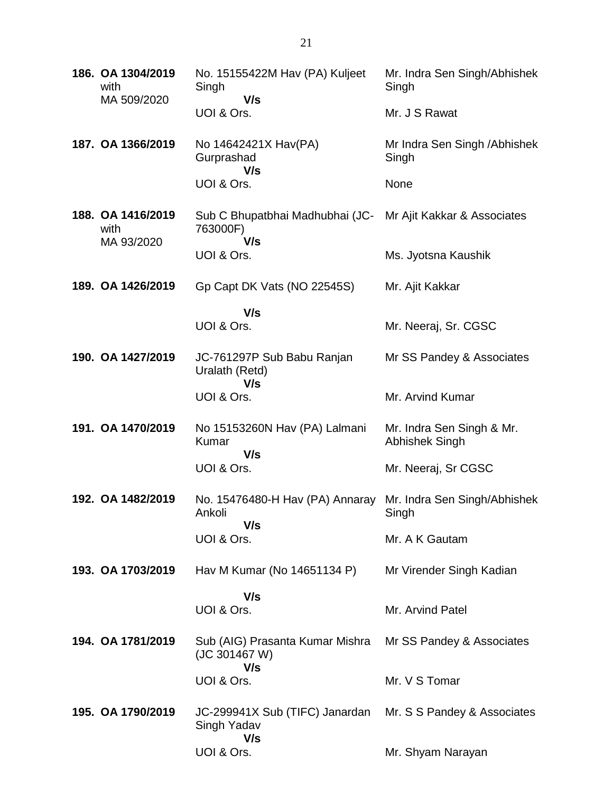| 186. OA 1304/2019<br>with<br>MA 509/2020 | No. 15155422M Hav (PA) Kuljeet<br>Singh<br>V/s                                 | Mr. Indra Sen Singh/Abhishek<br>Singh       |
|------------------------------------------|--------------------------------------------------------------------------------|---------------------------------------------|
|                                          | UOI & Ors.                                                                     | Mr. J S Rawat                               |
| 187. OA 1366/2019                        | No 14642421X Hav(PA)<br>Gurprashad<br>V/s                                      | Mr Indra Sen Singh / Abhishek<br>Singh      |
|                                          | UOI & Ors.                                                                     | None                                        |
| 188. OA 1416/2019<br>with<br>MA 93/2020  | Sub C Bhupatbhai Madhubhai (JC- Mr Ajit Kakkar & Associates<br>763000F)<br>V/s |                                             |
|                                          | UOI & Ors.                                                                     | Ms. Jyotsna Kaushik                         |
| 189. OA 1426/2019                        | Gp Capt DK Vats (NO 22545S)                                                    | Mr. Ajit Kakkar                             |
|                                          | V/s<br>UOI & Ors.                                                              | Mr. Neeraj, Sr. CGSC                        |
| 190. OA 1427/2019                        | JC-761297P Sub Babu Ranjan<br>Uralath (Retd)                                   | Mr SS Pandey & Associates                   |
|                                          | V/s<br>UOI & Ors.                                                              | Mr. Arvind Kumar                            |
| 191. OA 1470/2019                        | No 15153260N Hav (PA) Lalmani<br>Kumar<br>V/s                                  | Mr. Indra Sen Singh & Mr.<br>Abhishek Singh |
|                                          | UOI & Ors.                                                                     | Mr. Neeraj, Sr CGSC                         |
| 192. OA 1482/2019                        | No. 15476480-H Hav (PA) Annaray Mr. Indra Sen Singh/Abhishek<br>Ankoli<br>V/s  | Singh                                       |
|                                          | UOI & Ors.                                                                     | Mr. A K Gautam                              |
| 193. OA 1703/2019                        | Hav M Kumar (No 14651134 P)                                                    | Mr Virender Singh Kadian                    |
|                                          | V/s<br>UOI & Ors.                                                              | Mr. Arvind Patel                            |
|                                          |                                                                                |                                             |
| 194. OA 1781/2019                        | Sub (AIG) Prasanta Kumar Mishra<br>(JC 301467 W)<br>V/s                        | Mr SS Pandey & Associates                   |
|                                          | UOI & Ors.                                                                     | Mr. V S Tomar                               |
| 195. OA 1790/2019                        | JC-299941X Sub (TIFC) Janardan<br>Singh Yadav<br>V/s                           | Mr. S S Pandey & Associates                 |
|                                          | UOI & Ors.                                                                     | Mr. Shyam Narayan                           |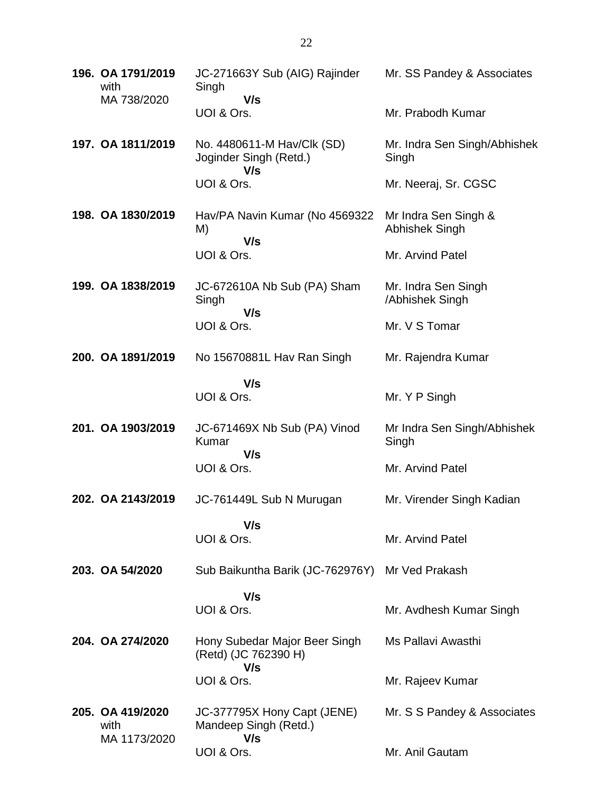| 196. OA 1791/2019<br>with<br>MA 738/2020 | JC-271663Y Sub (AIG) Rajinder<br>Singh<br>V/s                | Mr. SS Pandey & Associates             |
|------------------------------------------|--------------------------------------------------------------|----------------------------------------|
|                                          | UOI & Ors.                                                   | Mr. Prabodh Kumar                      |
| 197. OA 1811/2019                        | No. 4480611-M Hav/Clk (SD)<br>Joginder Singh (Retd.)<br>V/s  | Mr. Indra Sen Singh/Abhishek<br>Singh  |
|                                          | UOI & Ors.                                                   | Mr. Neeraj, Sr. CGSC                   |
| 198. OA 1830/2019                        | Hav/PA Navin Kumar (No 4569322<br>M)<br>V/s                  | Mr Indra Sen Singh &<br>Abhishek Singh |
|                                          | UOI & Ors.                                                   | Mr. Arvind Patel                       |
| 199. OA 1838/2019                        | JC-672610A Nb Sub (PA) Sham<br>Singh<br>V/s                  | Mr. Indra Sen Singh<br>/Abhishek Singh |
|                                          | UOI & Ors.                                                   | Mr. V S Tomar                          |
| 200. OA 1891/2019                        | No 15670881L Hav Ran Singh                                   | Mr. Rajendra Kumar                     |
|                                          | V/s<br>UOI & Ors.                                            | Mr. Y P Singh                          |
| 201. OA 1903/2019                        | JC-671469X Nb Sub (PA) Vinod<br>Kumar<br>V/s                 | Mr Indra Sen Singh/Abhishek<br>Singh   |
|                                          | UOI & Ors.                                                   | Mr. Arvind Patel                       |
| 202. OA 2143/2019                        | JC-761449L Sub N Murugan                                     | Mr. Virender Singh Kadian              |
|                                          | V/s<br>UOI & Ors.                                            | Mr. Arvind Patel                       |
| 203. OA 54/2020                          | Sub Baikuntha Barik (JC-762976Y)                             | Mr Ved Prakash                         |
|                                          | V/s<br>UOI & Ors.                                            | Mr. Avdhesh Kumar Singh                |
| 204. OA 274/2020                         | Hony Subedar Major Beer Singh<br>(Retd) (JC 762390 H)<br>V/s | Ms Pallavi Awasthi                     |
|                                          | UOI & Ors.                                                   | Mr. Rajeev Kumar                       |
| 205. OA 419/2020<br>with<br>MA 1173/2020 | JC-377795X Hony Capt (JENE)<br>Mandeep Singh (Retd.)<br>V/s  | Mr. S S Pandey & Associates            |
|                                          | UOI & Ors.                                                   | Mr. Anil Gautam                        |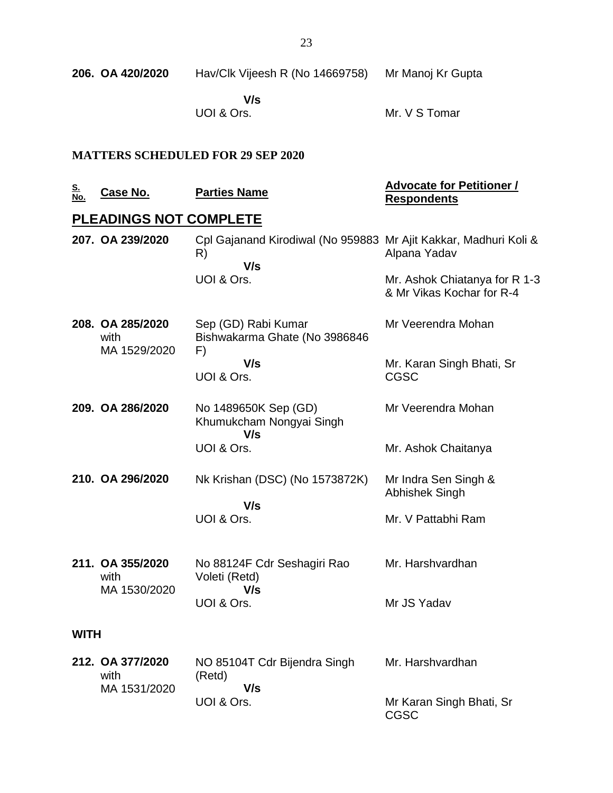| 206.  OA 420/2020 | Hav/Clk Vijeesh R (No 14669758) | Mr Manoj Kr Gupta |
|-------------------|---------------------------------|-------------------|
|                   |                                 |                   |

 **V/s** UOI & Ors.

Mr. V S Tomar

### **MATTERS SCHEDULED FOR 29 SEP 2020**

| <u>S.</u><br><u>No.</u> | <u>Case No.</u>                          | <b>Parties Name</b>                                                           | <b>Advocate for Petitioner /</b><br><b>Respondents</b>     |
|-------------------------|------------------------------------------|-------------------------------------------------------------------------------|------------------------------------------------------------|
|                         | <b>PLEADINGS NOT COMPLETE</b>            |                                                                               |                                                            |
|                         | 207. OA 239/2020                         | Cpl Gajanand Kirodiwal (No 959883 Mr Ajit Kakkar, Madhuri Koli &<br>R)<br>V/s | Alpana Yadav                                               |
|                         |                                          | UOI & Ors.                                                                    | Mr. Ashok Chiatanya for R 1-3<br>& Mr Vikas Kochar for R-4 |
|                         | 208. OA 285/2020<br>with<br>MA 1529/2020 | Sep (GD) Rabi Kumar<br>Bishwakarma Ghate (No 3986846<br>F)                    | Mr Veerendra Mohan                                         |
|                         |                                          | V/s<br>UOI & Ors.                                                             | Mr. Karan Singh Bhati, Sr<br><b>CGSC</b>                   |
|                         | 209. OA 286/2020                         | No 1489650K Sep (GD)<br>Khumukcham Nongyai Singh<br>V/s                       | Mr Veerendra Mohan                                         |
|                         |                                          | UOI & Ors.                                                                    | Mr. Ashok Chaitanya                                        |
|                         | 210. OA 296/2020                         | Nk Krishan (DSC) (No 1573872K)                                                | Mr Indra Sen Singh &<br>Abhishek Singh                     |
|                         |                                          | V/s<br>UOI & Ors.                                                             | Mr. V Pattabhi Ram                                         |
|                         | 211. OA 355/2020<br>with<br>MA 1530/2020 | No 88124F Cdr Seshagiri Rao<br>Voleti (Retd)<br>V/s                           | Mr. Harshvardhan                                           |
|                         |                                          | UOI & Ors.                                                                    | Mr JS Yadav                                                |
| <b>WITH</b>             |                                          |                                                                               |                                                            |
|                         | 212. OA 377/2020<br>with<br>MA 1531/2020 | NO 85104T Cdr Bijendra Singh<br>(Retd)<br>V/s                                 | Mr. Harshvardhan                                           |
|                         |                                          | UOI & Ors.                                                                    | Mr Karan Singh Bhati, Sr<br><b>CGSC</b>                    |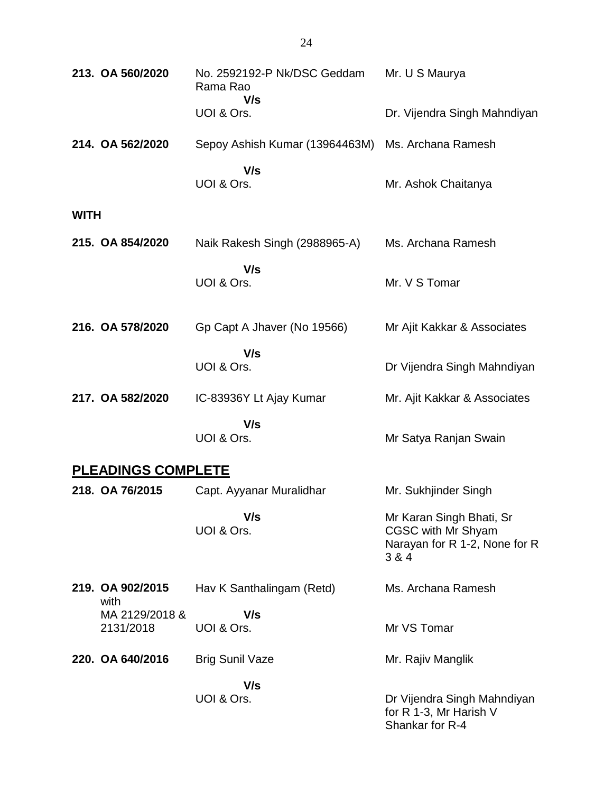| 213. OA 560/2020 |                             | No. 2592192-P Nk/DSC Geddam<br>Rama Rao<br>V/s | Mr. U S Maurya                                                                           |
|------------------|-----------------------------|------------------------------------------------|------------------------------------------------------------------------------------------|
|                  |                             | UOI & Ors.                                     | Dr. Vijendra Singh Mahndiyan                                                             |
|                  | 214. OA 562/2020            | Sepoy Ashish Kumar (13964463M)                 | Ms. Archana Ramesh                                                                       |
|                  |                             | V/s<br>UOI & Ors.                              | Mr. Ashok Chaitanya                                                                      |
| <b>WITH</b>      |                             |                                                |                                                                                          |
|                  | 215. OA 854/2020            | Naik Rakesh Singh (2988965-A)                  | Ms. Archana Ramesh                                                                       |
|                  |                             | V/s<br>UOI & Ors.                              | Mr. V S Tomar                                                                            |
|                  | 216. OA 578/2020            | Gp Capt A Jhaver (No 19566)                    | Mr Ajit Kakkar & Associates                                                              |
|                  |                             | V/s<br>UOI & Ors.                              | Dr Vijendra Singh Mahndiyan                                                              |
|                  | 217. OA 582/2020            | IC-83936Y Lt Ajay Kumar                        | Mr. Ajit Kakkar & Associates                                                             |
|                  |                             | V/s<br>UOI & Ors.                              | Mr Satya Ranjan Swain                                                                    |
|                  | <b>PLEADINGS COMPLETE</b>   |                                                |                                                                                          |
|                  | 218. OA 76/2015             | Capt. Ayyanar Muralidhar                       | Mr. Sukhjinder Singh                                                                     |
|                  |                             | V/s<br>UOI & Ors.                              | Mr Karan Singh Bhati, Sr<br>CGSC with Mr Shyam<br>Narayan for R 1-2, None for R<br>3 & 4 |
|                  | 219. OA 902/2015<br>with    | Hav K Santhalingam (Retd)                      | Ms. Archana Ramesh                                                                       |
|                  | MA 2129/2018 &<br>2131/2018 | V/s<br>UOI & Ors.                              | Mr VS Tomar                                                                              |
|                  | 220. OA 640/2016            | <b>Brig Sunil Vaze</b>                         | Mr. Rajiv Manglik                                                                        |
|                  |                             | V/s<br>UOI & Ors.                              | Dr Vijendra Singh Mahndiyan<br>for R 1-3, Mr Harish V<br>Shankar for R-4                 |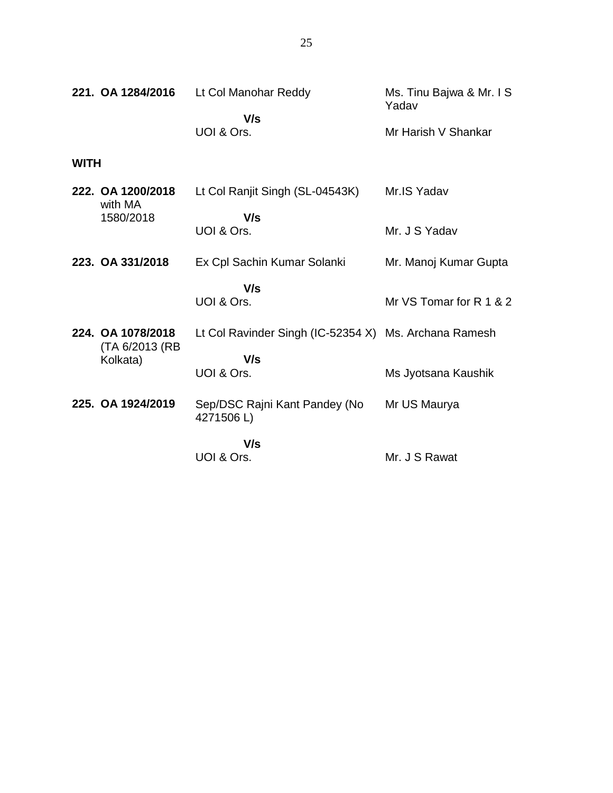| 221. OA 1284/2016 |                                      | Lt Col Manohar Reddy                                  | Ms. Tinu Bajwa & Mr. I S<br>Yadav |
|-------------------|--------------------------------------|-------------------------------------------------------|-----------------------------------|
|                   |                                      | V/s                                                   |                                   |
|                   |                                      | UOI & Ors.                                            | Mr Harish V Shankar               |
| <b>WITH</b>       |                                      |                                                       |                                   |
|                   | 222. OA 1200/2018<br>with MA         | Lt Col Ranjit Singh (SL-04543K)                       | Mr.IS Yadav                       |
|                   | 1580/2018                            | V/s                                                   |                                   |
|                   |                                      | UOI & Ors.                                            | Mr. J S Yadav                     |
|                   | 223. OA 331/2018                     | Ex Cpl Sachin Kumar Solanki                           | Mr. Manoj Kumar Gupta             |
|                   |                                      | V/s                                                   |                                   |
|                   |                                      | UOI & Ors.                                            | Mr VS Tomar for R 1 & 2           |
|                   | 224. OA 1078/2018<br>(TA 6/2013 (RB) | Lt Col Ravinder Singh (IC-52354 X) Ms. Archana Ramesh |                                   |
|                   | Kolkata)                             | V/s                                                   |                                   |
|                   |                                      | UOI & Ors.                                            | Ms Jyotsana Kaushik               |
|                   | 225. OA 1924/2019                    | Sep/DSC Rajni Kant Pandey (No<br>4271506L)            | Mr US Maurya                      |
|                   |                                      | V/s                                                   |                                   |
|                   |                                      | UOI & Ors.                                            | Mr. J S Rawat                     |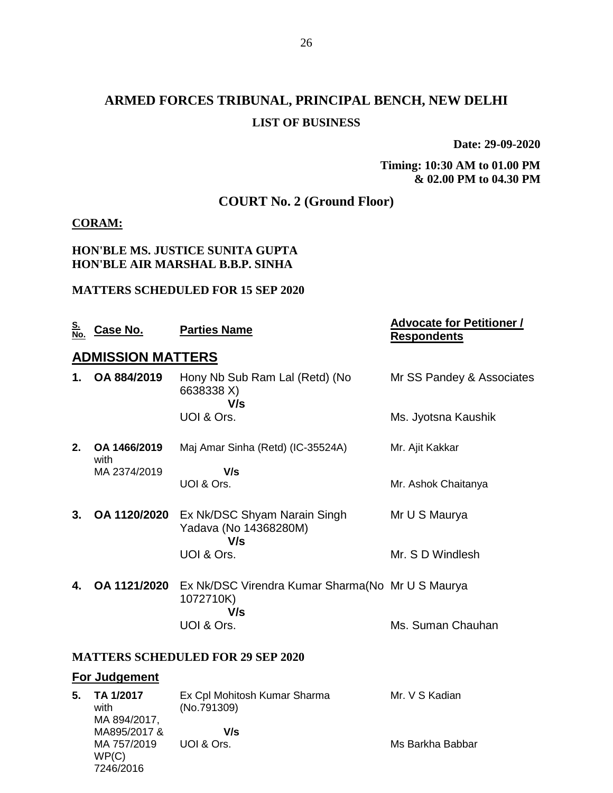# **ARMED FORCES TRIBUNAL, PRINCIPAL BENCH, NEW DELHI LIST OF BUSINESS**

**Date: 29-09-2020**

**Timing: 10:30 AM to 01.00 PM & 02.00 PM to 04.30 PM**

## **COURT No. 2 (Ground Floor)**

#### **CORAM:**

#### **HON'BLE MS. JUSTICE SUNITA GUPTA HON'BLE AIR MARSHAL B.B.P. SINHA**

#### **MATTERS SCHEDULED FOR 15 SEP 2020**

| <u>S.<br/>No.</u>                        | <u>Case No.</u>          | <b>Parties Name</b>                                                   | <b>Advocate for Petitioner /</b><br><b>Respondents</b> |  |  |
|------------------------------------------|--------------------------|-----------------------------------------------------------------------|--------------------------------------------------------|--|--|
|                                          | <b>ADMISSION MATTERS</b> |                                                                       |                                                        |  |  |
| 1.                                       | OA 884/2019              | Hony Nb Sub Ram Lal (Retd) (No<br>6638338 X)<br>V/s                   | Mr SS Pandey & Associates                              |  |  |
|                                          |                          | UOI & Ors.                                                            | Ms. Jyotsna Kaushik                                    |  |  |
| 2.                                       | OA 1466/2019<br>with     | Maj Amar Sinha (Retd) (IC-35524A)                                     | Mr. Ajit Kakkar                                        |  |  |
|                                          | MA 2374/2019             | V/s<br>UOI & Ors.                                                     | Mr. Ashok Chaitanya                                    |  |  |
| 3.                                       | OA 1120/2020             | Ex Nk/DSC Shyam Narain Singh<br>Yadava (No 14368280M)<br>V/s          | Mr U S Maurya                                          |  |  |
|                                          |                          | UOI & Ors.                                                            | Mr. S D Windlesh                                       |  |  |
| 4.                                       | OA 1121/2020             | Ex Nk/DSC Virendra Kumar Sharma (No Mr U S Maurya<br>1072710K)<br>V/s |                                                        |  |  |
|                                          |                          | UOI & Ors.                                                            | Ms. Suman Chauhan                                      |  |  |
| <b>MATTERS SCHEDULED FOR 29 SEP 2020</b> |                          |                                                                       |                                                        |  |  |
|                                          | <b>For Judgement</b>     |                                                                       |                                                        |  |  |

| 5. | TA 1/2017    | Ex Cpl Mohitosh Kumar Sharma | Mr. V S Kadian   |
|----|--------------|------------------------------|------------------|
|    | with         | (No.791309)                  |                  |
|    | MA 894/2017, |                              |                  |
|    | MA895/2017 & | V/s                          |                  |
|    | MA 757/2019  | UOI & Ors.                   | Ms Barkha Babbar |
|    | WP(C)        |                              |                  |
|    | 7246/2016    |                              |                  |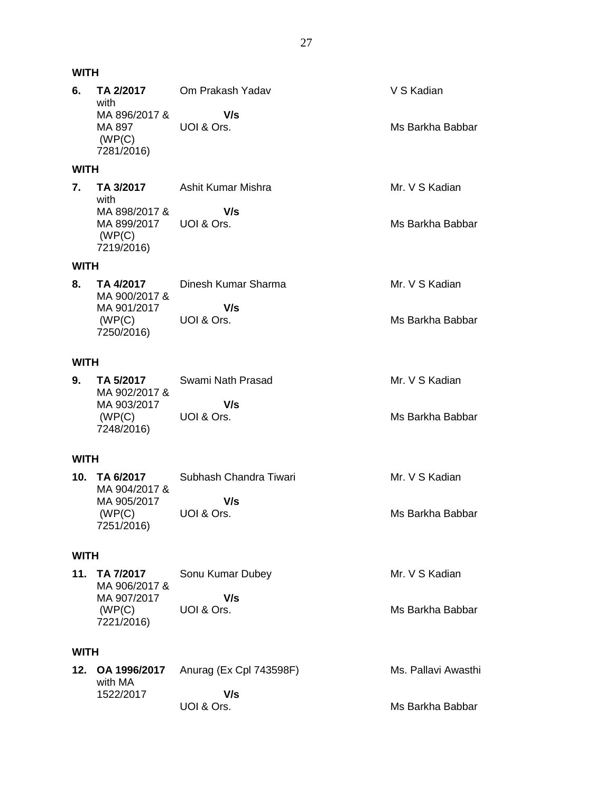| <b>WITH</b> |                                                                            |                                              |                                         |
|-------------|----------------------------------------------------------------------------|----------------------------------------------|-----------------------------------------|
| 6.          | TA 2/2017<br>with<br>MA 896/2017 &<br>MA 897<br>(WP(C)<br>7281/2016)       | Om Prakash Yadav<br>V/s<br>UOI & Ors.        | V S Kadian<br>Ms Barkha Babbar          |
| WITH        |                                                                            |                                              |                                         |
| 7.          | TA 3/2017<br>with<br>MA 898/2017 &<br>MA 899/2017<br>(WP(C))<br>7219/2016) | Ashit Kumar Mishra<br>V/s<br>UOI & Ors.      | Mr. V S Kadian<br>Ms Barkha Babbar      |
| WITH        |                                                                            |                                              |                                         |
| 8.          | TA 4/2017<br>MA 900/2017 &<br>MA 901/2017<br>(WP(C)<br>7250/2016)          | Dinesh Kumar Sharma<br>V/s<br>UOI & Ors.     | Mr. V S Kadian<br>Ms Barkha Babbar      |
| <b>WITH</b> |                                                                            |                                              |                                         |
| 9.          | TA 5/2017<br>MA 902/2017 &<br>MA 903/2017<br>(WP(C))<br>7248/2016)         | Swami Nath Prasad<br>V/s<br>UOI & Ors.       | Mr. V S Kadian<br>Ms Barkha Babbar      |
| WITH        |                                                                            |                                              |                                         |
| 10.         | TA 6/2017<br>MA 904/2017 &<br>MA 905/2017<br>(WP(C)<br>7251/2016)          | Subhash Chandra Tiwari<br>V/s<br>UOI & Ors.  | Mr. V S Kadian<br>Ms Barkha Babbar      |
| WITH        |                                                                            |                                              |                                         |
| 11.         | TA 7/2017<br>MA 906/2017 &<br>MA 907/2017<br>(WP(C))<br>7221/2016)         | Sonu Kumar Dubey<br>V/s<br>UOI & Ors.        | Mr. V S Kadian<br>Ms Barkha Babbar      |
| WITH        |                                                                            |                                              |                                         |
| 12.         | OA 1996/2017<br>with MA<br>1522/2017                                       | Anurag (Ex Cpl 743598F)<br>V/s<br>UOI & Ors. | Ms. Pallavi Awasthi<br>Ms Barkha Babbar |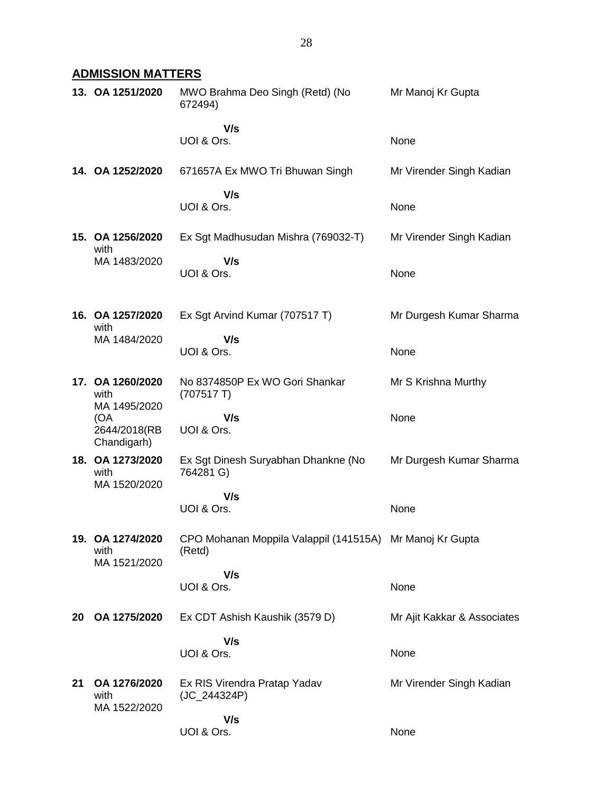## **ADMISSION MATTERS**

|    | 13. OA 1251/2020                           | MWO Brahma Deo Singh (Retd) (No<br>672494)                         | Mr Manoj Kr Gupta           |
|----|--------------------------------------------|--------------------------------------------------------------------|-----------------------------|
|    |                                            | V/s<br>UOI & Ors.                                                  | None                        |
|    | 14. OA 1252/2020                           | 671657A Ex MWO Tri Bhuwan Singh                                    | Mr Virender Singh Kadian    |
|    |                                            | V/s<br>UOI & Ors.                                                  | None                        |
|    | 15. OA 1256/2020<br>with                   | Ex Sgt Madhusudan Mishra (769032-T)                                | Mr Virender Singh Kadian    |
|    | MA 1483/2020                               | V/s<br>UOI & Ors.                                                  | None                        |
|    | 16. OA 1257/2020<br>with                   | Ex Sgt Arvind Kumar (707517 T)                                     | Mr Durgesh Kumar Sharma     |
|    | MA 1484/2020                               | V/s<br>UOI & Ors.                                                  | None                        |
|    | 17. OA 1260/2020<br>with<br>MA 1495/2020   | No 8374850P Ex WO Gori Shankar<br>(707517)                         | Mr S Krishna Murthy         |
|    | (OA<br>2644/2018(RB<br>Chandigarh)         | V/s<br>UOI & Ors.                                                  | None                        |
|    | 18. OA 1273/2020<br>with<br>MA 1520/2020   | Ex Sgt Dinesh Suryabhan Dhankne (No<br>764281 G)                   | Mr Durgesh Kumar Sharma     |
|    |                                            | V/s<br>UOI & Ors.                                                  | None                        |
|    | 19.   OA 1274/2020<br>with<br>MA 1521/2020 | CPO Mohanan Moppila Valappil (141515A) Mr Manoj Kr Gupta<br>(Retd) |                             |
|    |                                            | V/s<br>UOI & Ors.                                                  | None                        |
|    |                                            |                                                                    |                             |
| 20 | OA 1275/2020                               | Ex CDT Ashish Kaushik (3579 D)                                     | Mr Ajit Kakkar & Associates |
|    |                                            | V/s<br>UOI & Ors.                                                  | None                        |
| 21 | OA 1276/2020<br>with<br>MA 1522/2020       | Ex RIS Virendra Pratap Yadav<br>(JC_244324P)                       | Mr Virender Singh Kadian    |
|    |                                            | V/s<br>UOI & Ors.                                                  | None                        |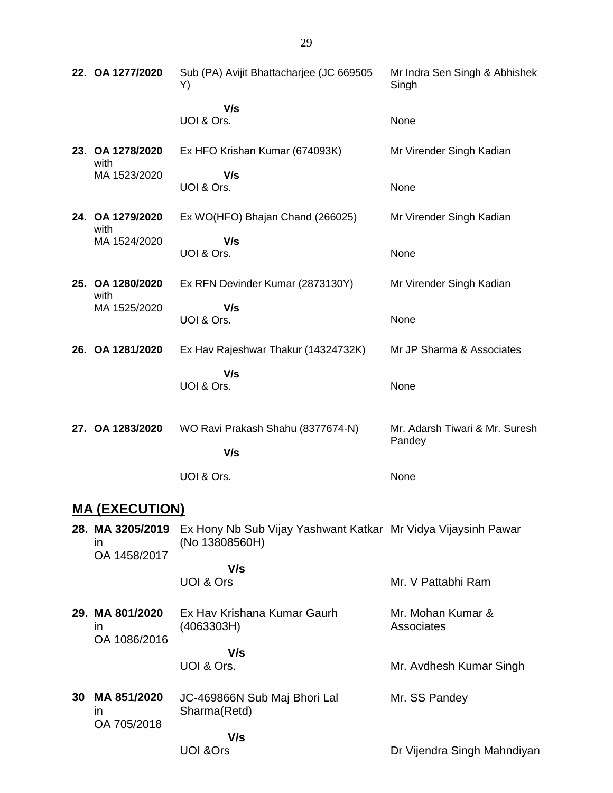| 22. OA 1277/2020                        | Sub (PA) Avijit Bhattacharjee (JC 669505<br>Y)                                  | Mr Indra Sen Singh & Abhishek<br>Singh   |
|-----------------------------------------|---------------------------------------------------------------------------------|------------------------------------------|
|                                         | V/s<br>UOI & Ors.                                                               | None                                     |
| 23. OA 1278/2020<br>with                | Ex HFO Krishan Kumar (674093K)                                                  | Mr Virender Singh Kadian                 |
| MA 1523/2020                            | V/s<br>UOI & Ors.                                                               | None                                     |
| 24. OA 1279/2020<br>with                | Ex WO(HFO) Bhajan Chand (266025)                                                | Mr Virender Singh Kadian                 |
| MA 1524/2020                            | V/s<br>UOI & Ors.                                                               | None                                     |
| 25. OA 1280/2020<br>with                | Ex RFN Devinder Kumar (2873130Y)                                                | Mr Virender Singh Kadian                 |
| MA 1525/2020                            | V/s<br>UOI & Ors.                                                               | None                                     |
| 26. OA 1281/2020                        | Ex Hav Rajeshwar Thakur (14324732K)                                             | Mr JP Sharma & Associates                |
|                                         | V/s<br>UOI & Ors.                                                               | None                                     |
| 27. OA 1283/2020                        | WO Ravi Prakash Shahu (8377674-N)<br>V/s                                        | Mr. Adarsh Tiwari & Mr. Suresh<br>Pandey |
|                                         | UOI & Ors.                                                                      | None                                     |
| <b>MA (EXECUTION)</b>                   |                                                                                 |                                          |
| 28. MA 3205/2019<br>in.<br>OA 1458/2017 | Ex Hony Nb Sub Vijay Yashwant Katkar Mr Vidya Vijaysinh Pawar<br>(No 13808560H) |                                          |

|    |                                       | V/s<br>UOI & Ors                             | Mr. V Pattabhi Ram              |
|----|---------------------------------------|----------------------------------------------|---------------------------------|
|    | 29. MA 801/2020<br>ın<br>OA 1086/2016 | Ex Hav Krishana Kumar Gaurh<br>(4063303H)    | Mr. Mohan Kumar &<br>Associates |
|    |                                       | V/s<br>UOI & Ors.                            | Mr. Avdhesh Kumar Singh         |
| 30 | MA 851/2020<br>ın<br>OA 705/2018      | JC-469866N Sub Maj Bhori Lal<br>Sharma(Retd) | Mr. SS Pandey                   |
|    |                                       | V/s<br>UOI &Ors                              | Dr Vijendra Singh Mahndiyan     |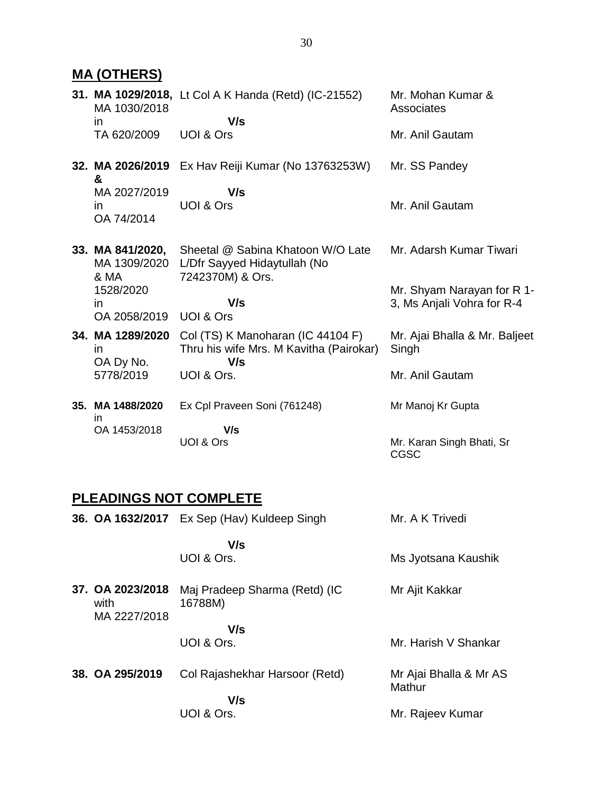**MA (OTHERS) 31. MA 1029/2018,** Lt Col A K Handa (Retd) (IC-21552) MA 1030/2018 in TA 620/2009  **V/s** UOI & Ors Mr. Mohan Kumar & **Associates** Mr. Anil Gautam **32. MA 2026/2019**  Ex Hav Reiji Kumar (No 13763253W) **&** MA 2027/2019 in OA 74/2014  **V/s** UOI & Ors Mr. SS Pandey Mr. Anil Gautam **33. MA 841/2020,** MA 1309/2020 L/Dfr Sayyed Hidaytullah (No & MA 1528/2020 in OA 2058/2019 UOI & Ors Sheetal @ Sabina Khatoon W/O Late 7242370M) & Ors.  **V/s** Mr. Adarsh Kumar Tiwari Mr. Shyam Narayan for R 1- 3, Ms Anjali Vohra for R-4 **34. MA 1289/2020** Col (TS) K Manoharan (IC 44104 F) in OA Dy No. 5778/2019 Thru his wife Mrs. M Kavitha (Pairokar)  **V/s** UOI & Ors. Mr. Ajai Bhalla & Mr. Baljeet **Singh** Mr. Anil Gautam

**35. MA 1488/2020** in OA 1453/2018 Ex Cpl Praveen Soni (761248)  **V/s** UOI & Ors Mr Manoj Kr Gupta Mr. Karan Singh Bhati, Sr CGSC

#### **PLEADINGS NOT COMPLETE**

**36. OA 1632/2017** Ex Sep (Hav) Kuldeep Singh  **V/s** UOI & Ors. Mr. A K Trivedi Ms Jyotsana Kaushik **37. OA 2023/2018** Maj Pradeep Sharma (Retd) (IC with MA 2227/2018 16788M)  **V/s** UOI & Ors. Mr Ajit Kakkar Mr. Harish V Shankar **38. OA 295/2019** Col Rajashekhar Harsoor (Retd)  **V/s** UOI & Ors. Mr Ajai Bhalla & Mr AS **Mathur** Mr. Rajeev Kumar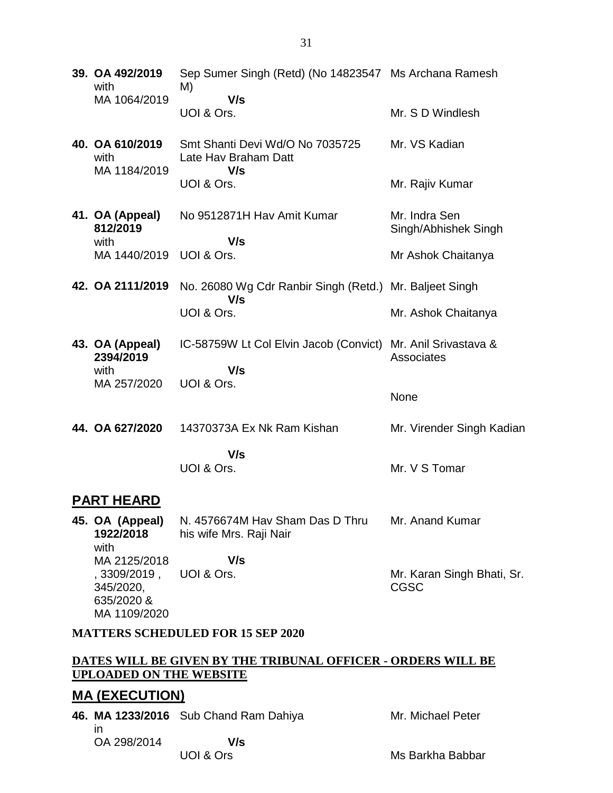| 39. OA 492/2019<br>with                 | Sep Sumer Singh (Retd) (No 14823547 Ms Archana Ramesh<br>M)    |                                       |  |  |
|-----------------------------------------|----------------------------------------------------------------|---------------------------------------|--|--|
| MA 1064/2019                            | V/s<br>UOI & Ors.                                              | Mr. S D Windlesh                      |  |  |
| 40. OA 610/2019<br>with<br>MA 1184/2019 | Smt Shanti Devi Wd/O No 7035725<br>Late Hav Braham Datt<br>V/s | Mr. VS Kadian                         |  |  |
|                                         | UOI & Ors.                                                     | Mr. Rajiv Kumar                       |  |  |
| 41. OA (Appeal)<br>812/2019<br>with     | No 9512871H Hav Amit Kumar<br>V/s                              | Mr. Indra Sen<br>Singh/Abhishek Singh |  |  |
| MA 1440/2019                            | UOI & Ors.                                                     | Mr Ashok Chaitanya                    |  |  |
| 42. OA 2111/2019                        | No. 26080 Wg Cdr Ranbir Singh (Retd.) Mr. Baljeet Singh<br>V/s |                                       |  |  |
|                                         | UOI & Ors.                                                     | Mr. Ashok Chaitanya                   |  |  |
| 43. OA (Appeal)<br>2394/2019<br>with    | IC-58759W Lt Col Elvin Jacob (Convict)<br>V/s                  | Mr. Anil Srivastava &<br>Associates   |  |  |
| MA 257/2020                             | UOI & Ors.                                                     | None                                  |  |  |
| 44. OA 627/2020                         | 14370373A Ex Nk Ram Kishan                                     | Mr. Virender Singh Kadian             |  |  |
|                                         | V/s<br>UOI & Ors.                                              | Mr. V S Tomar                         |  |  |
| <b>PART HEARD</b>                       |                                                                |                                       |  |  |

**45. OA (Appeal) 1922/2018** with MA 2125/2018 , 3309/2019 , 345/2020, 635/2020 & MA 1109/2020 N. 4576674M Hav Sham Das D Thru his wife Mrs. Raji Nair  **V/s** UOI & Ors. Mr. Anand Kumar Mr. Karan Singh Bhati, Sr. CGSC

#### **MATTERS SCHEDULED FOR 15 SEP 2020**

#### **DATES WILL BE GIVEN BY THE TRIBUNAL OFFICER - ORDERS WILL BE UPLOADED ON THE WEBSITE**

### **MA (EXECUTION)**

|                   | 46. MA 1233/2016 Sub Chand Ram Dahiya | Mr. Michael Peter |
|-------------------|---------------------------------------|-------------------|
| ın<br>OA 298/2014 | V/s                                   |                   |
|                   | UOI & Ors                             | Ms Barkha Babbar  |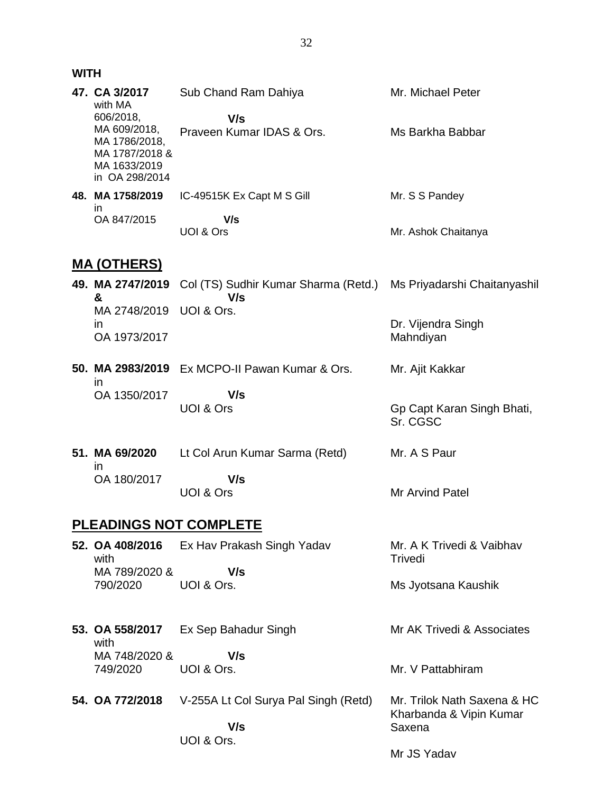#### **WITH**

| 47. CA 3/2017<br>with MA<br>606/2018,<br>MA 609/2018,<br>MA 1786/2018,<br>MA 1787/2018 &<br>MA 1633/2019<br>in OA 298/2014 | Sub Chand Ram Dahiya<br>V/s<br>Praveen Kumar IDAS & Ors.           | Mr. Michael Peter<br>Ms Barkha Babbar                           |
|----------------------------------------------------------------------------------------------------------------------------|--------------------------------------------------------------------|-----------------------------------------------------------------|
| 48. MA 1758/2019<br>in.<br>OA 847/2015                                                                                     | IC-49515K Ex Capt M S Gill<br>V/s<br>UOI & Ors                     | Mr. S S Pandey<br>Mr. Ashok Chaitanya                           |
| <b>MA (OTHERS)</b>                                                                                                         |                                                                    |                                                                 |
| 49. MA 2747/2019<br>&<br>MA 2748/2019<br>in<br>OA 1973/2017                                                                | Col (TS) Sudhir Kumar Sharma (Retd.)<br>V/s<br>UOI & Ors.          | Ms Priyadarshi Chaitanyashil<br>Dr. Vijendra Singh<br>Mahndiyan |
| in<br>OA 1350/2017                                                                                                         | 50. MA 2983/2019 Ex MCPO-II Pawan Kumar & Ors.<br>V/s<br>UOI & Ors | Mr. Ajit Kakkar<br>Gp Capt Karan Singh Bhati,<br>Sr. CGSC       |
| 51. MA 69/2020<br>ın<br>OA 180/2017                                                                                        | Lt Col Arun Kumar Sarma (Retd)<br>V/s<br>UOI & Ors                 | Mr. A S Paur<br>Mr Arvind Patel                                 |
|                                                                                                                            | <b>PLEADINGS NOT COMPLETE</b>                                      |                                                                 |
| 52. OA 408/2016                                                                                                            | Ex Hav Prakash Singh Yadav                                         | Mr. A K Trivedi & Vaibhav                                       |

with MA 789/2020 & 790/2020 UOI & Ors.  **V/s** Trivedi Ms Jyotsana Kaushik

| 53. OA 558/2017 | Ex Sep Bahadur Singh | Mr AK Trivedi & Associates |
|-----------------|----------------------|----------------------------|
| with            |                      |                            |
| MA 748/2020 &   | V/s                  |                            |
| 749/2020        | UOI & Ors.           | Mr. V Pattabhiram          |
|                 |                      |                            |

**54. OA 772/2018** V-255A Lt Col Surya Pal Singh (Retd)  **V/s** UOI & Ors. Mr. Trilok Nath Saxena & HC Kharbanda & Vipin Kumar Saxena Mr JS Yadav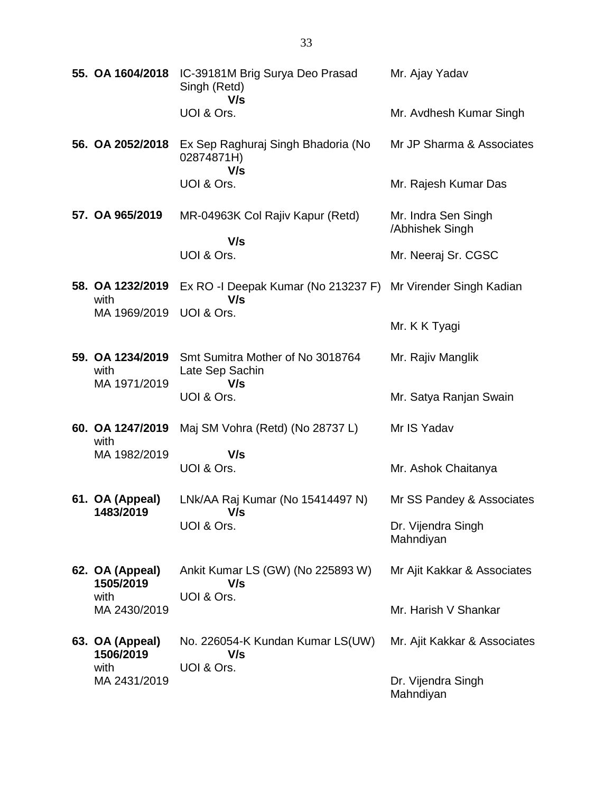| 55. OA 1604/2018             | IC-39181M Brig Surya Deo Prasad<br>Singh (Retd)<br>V/s              | Mr. Ajay Yadav                         |
|------------------------------|---------------------------------------------------------------------|----------------------------------------|
|                              | UOI & Ors.                                                          | Mr. Avdhesh Kumar Singh                |
| 56. OA 2052/2018             | Ex Sep Raghuraj Singh Bhadoria (No<br>02874871H)<br>V/s             | Mr JP Sharma & Associates              |
|                              | UOI & Ors.                                                          | Mr. Rajesh Kumar Das                   |
| 57. OA 965/2019              | MR-04963K Col Rajiv Kapur (Retd)<br>V/s                             | Mr. Indra Sen Singh<br>/Abhishek Singh |
|                              | UOI & Ors.                                                          | Mr. Neeraj Sr. CGSC                    |
| 58. OA 1232/2019<br>with     | Ex RO -I Deepak Kumar (No 213237 F) Mr Virender Singh Kadian<br>V/s |                                        |
| MA 1969/2019                 | UOI & Ors.                                                          | Mr. K K Tyagi                          |
| 59. OA 1234/2019<br>with     | Smt Sumitra Mother of No 3018764<br>Late Sep Sachin                 | Mr. Rajiv Manglik                      |
| MA 1971/2019                 | V/s<br>UOI & Ors.                                                   | Mr. Satya Ranjan Swain                 |
| 60. OA 1247/2019<br>with     | Maj SM Vohra (Retd) (No 28737 L)                                    | Mr IS Yadav                            |
| MA 1982/2019                 | V/s<br>UOI & Ors.                                                   | Mr. Ashok Chaitanya                    |
| 61. OA (Appeal)<br>1483/2019 | LNk/AA Raj Kumar (No 15414497 N)<br>V/s                             | Mr SS Pandey & Associates              |
|                              | UOI & Ors.                                                          | Dr. Vijendra Singh<br>Mahndiyan        |
| 62. OA (Appeal)<br>1505/2019 | Ankit Kumar LS (GW) (No 225893 W)<br>V/s                            | Mr Ajit Kakkar & Associates            |
| with<br>MA 2430/2019         | UOI & Ors.                                                          | Mr. Harish V Shankar                   |
| 63. OA (Appeal)<br>1506/2019 | No. 226054-K Kundan Kumar LS(UW)<br>V/s                             | Mr. Ajit Kakkar & Associates           |
| with<br>MA 2431/2019         | UOI & Ors.                                                          | Dr. Vijendra Singh<br>Mahndiyan        |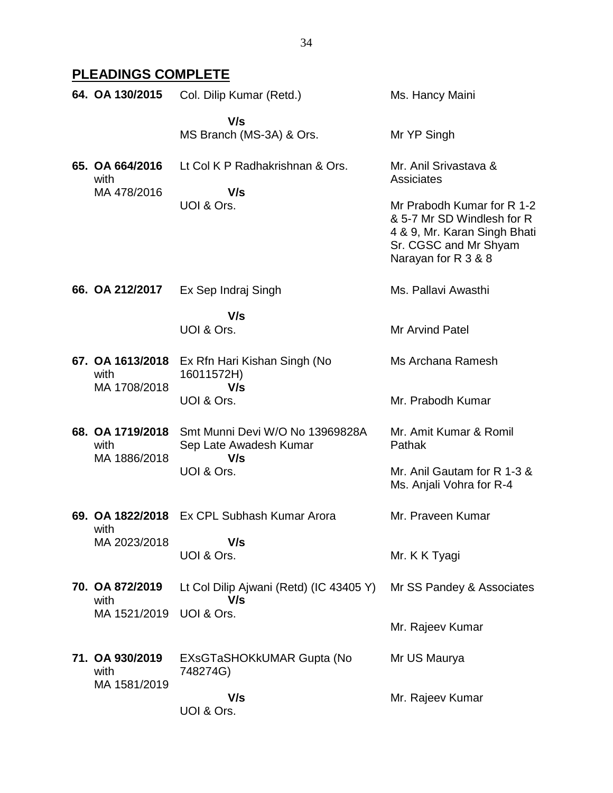# **PLEADINGS COMPLETE**

| 64. OA 130/2015                          | Col. Dilip Kumar (Retd.)                                         | Ms. Hancy Maini                                                                                                                          |
|------------------------------------------|------------------------------------------------------------------|------------------------------------------------------------------------------------------------------------------------------------------|
|                                          | V/s<br>MS Branch (MS-3A) & Ors.                                  | Mr YP Singh                                                                                                                              |
| 65. OA 664/2016<br>with<br>MA 478/2016   | Lt Col K P Radhakrishnan & Ors.<br>V/s                           | Mr. Anil Srivastava &<br><b>Assiciates</b>                                                                                               |
|                                          | UOI & Ors.                                                       | Mr Prabodh Kumar for R 1-2<br>& 5-7 Mr SD Windlesh for R<br>4 & 9, Mr. Karan Singh Bhati<br>Sr. CGSC and Mr Shyam<br>Narayan for R 3 & 8 |
| 66. OA 212/2017                          | Ex Sep Indraj Singh                                              | Ms. Pallavi Awasthi                                                                                                                      |
|                                          | V/s<br>UOI & Ors.                                                | <b>Mr Arvind Patel</b>                                                                                                                   |
| 67. OA 1613/2018<br>with<br>MA 1708/2018 | Ex Rfn Hari Kishan Singh (No<br>16011572H)<br>V/s                | Ms Archana Ramesh                                                                                                                        |
|                                          | UOI & Ors.                                                       | Mr. Prabodh Kumar                                                                                                                        |
| 68. OA 1719/2018<br>with                 | Smt Munni Devi W/O No 13969828A<br>Sep Late Awadesh Kumar<br>V/s | Mr. Amit Kumar & Romil<br>Pathak                                                                                                         |
| MA 1886/2018                             | UOI & Ors.                                                       | Mr. Anil Gautam for R 1-3 &<br>Ms. Anjali Vohra for R-4                                                                                  |
| 69. OA 1822/2018                         | Ex CPL Subhash Kumar Arora                                       | Mr. Praveen Kumar                                                                                                                        |
| with<br>MA 2023/2018                     | V/s<br>UOI & Ors.                                                | Mr. K K Tyagi                                                                                                                            |
| 70. OA 872/2019<br>with                  | Lt Col Dilip Ajwani (Retd) (IC 43405 Y)<br>V/s                   | Mr SS Pandey & Associates                                                                                                                |
| MA 1521/2019                             | UOI & Ors.                                                       | Mr. Rajeev Kumar                                                                                                                         |
| 71. OA 930/2019<br>with<br>MA 1581/2019  | EXsGTaSHOKkUMAR Gupta (No<br>748274G)                            | Mr US Maurya                                                                                                                             |
|                                          | V/s<br>UOI & Ors.                                                | Mr. Rajeev Kumar                                                                                                                         |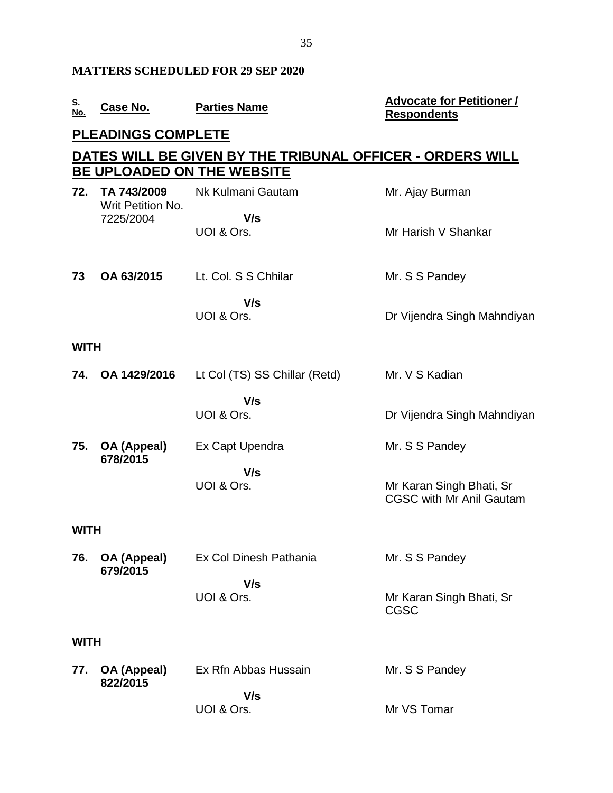#### **MATTERS SCHEDULED FOR 29 SEP 2020**

| S.<br>$\sim$ | Case No. | <b>Parties Name</b> |
|--------------|----------|---------------------|
| No.          |          |                     |

#### **No. Case No. Parties Name Advocate for Petitioner / Respondents**

## **PLEADINGS COMPLETE**

## **DATES WILL BE GIVEN BY THE TRIBUNAL OFFICER - ORDERS WILL BE UPLOADED ON THE WEBSITE**

| 72.         | TA 743/2009<br>Writ Petition No. | Nk Kulmani Gautam             | Mr. Ajay Burman                                             |  |  |
|-------------|----------------------------------|-------------------------------|-------------------------------------------------------------|--|--|
|             | 7225/2004                        | V/s<br>UOI & Ors.             | Mr Harish V Shankar                                         |  |  |
| 73          | OA 63/2015                       | Lt. Col. S S Chhilar          | Mr. S S Pandey                                              |  |  |
|             |                                  | V/s<br>UOI & Ors.             | Dr Vijendra Singh Mahndiyan                                 |  |  |
| <b>WITH</b> |                                  |                               |                                                             |  |  |
| 74.         | OA 1429/2016                     | Lt Col (TS) SS Chillar (Retd) | Mr. V S Kadian                                              |  |  |
|             |                                  | V/s<br>UOI & Ors.             | Dr Vijendra Singh Mahndiyan                                 |  |  |
| 75.         | OA (Appeal)<br>678/2015          | Ex Capt Upendra               | Mr. S S Pandey                                              |  |  |
|             |                                  | V/s<br>UOI & Ors.             | Mr Karan Singh Bhati, Sr<br><b>CGSC with Mr Anil Gautam</b> |  |  |
| <b>WITH</b> |                                  |                               |                                                             |  |  |
| 76.         | OA (Appeal)<br>679/2015          | Ex Col Dinesh Pathania        | Mr. S S Pandey                                              |  |  |
|             |                                  | V/s<br>UOI & Ors.             | Mr Karan Singh Bhati, Sr<br><b>CGSC</b>                     |  |  |
|             | <b>WITH</b>                      |                               |                                                             |  |  |
| 77.         | <b>OA (Appeal)</b><br>822/2015   | Ex Rfn Abbas Hussain<br>V/s   | Mr. S S Pandey                                              |  |  |
|             |                                  | UOI & Ors.                    | Mr VS Tomar                                                 |  |  |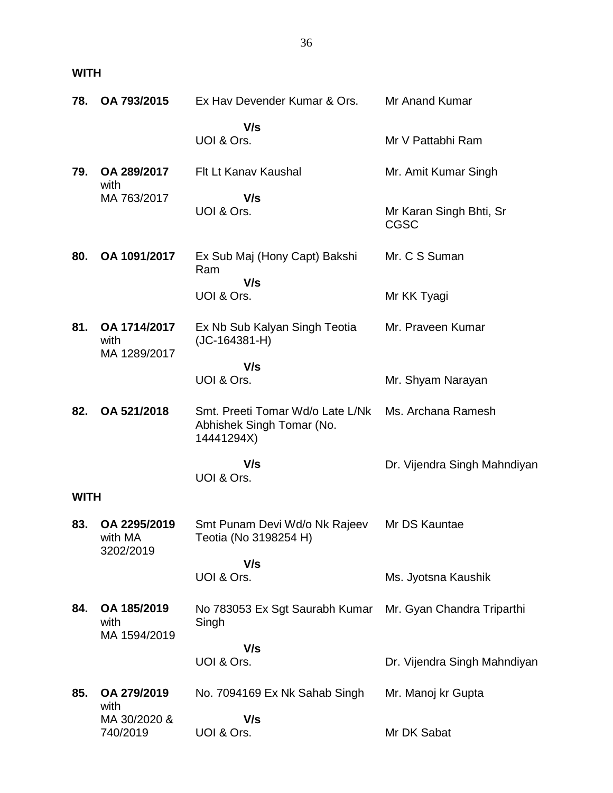**WITH**

| 78.         | OA 793/2015                          | Ex Hav Devender Kumar & Ors.                                                | Mr Anand Kumar                         |
|-------------|--------------------------------------|-----------------------------------------------------------------------------|----------------------------------------|
|             |                                      | V/s<br>UOI & Ors.                                                           | Mr V Pattabhi Ram                      |
| 79.         | OA 289/2017                          | Flt Lt Kanav Kaushal                                                        | Mr. Amit Kumar Singh                   |
|             | with<br>MA 763/2017                  | V/s<br>UOI & Ors.                                                           | Mr Karan Singh Bhti, Sr<br><b>CGSC</b> |
| 80.         | OA 1091/2017                         | Ex Sub Maj (Hony Capt) Bakshi<br>Ram                                        | Mr. C S Suman                          |
|             |                                      | V/s<br>UOI & Ors.                                                           | Mr KK Tyagi                            |
| 81.         | OA 1714/2017<br>with<br>MA 1289/2017 | Ex Nb Sub Kalyan Singh Teotia<br>$(JC-164381-H)$                            | Mr. Praveen Kumar                      |
|             |                                      | V/s<br>UOI & Ors.                                                           | Mr. Shyam Narayan                      |
| 82.         | OA 521/2018                          | Smt. Preeti Tomar Wd/o Late L/Nk<br>Abhishek Singh Tomar (No.<br>14441294X) | Ms. Archana Ramesh                     |
|             |                                      | V/s<br>UOI & Ors.                                                           | Dr. Vijendra Singh Mahndiyan           |
| <b>WITH</b> |                                      |                                                                             |                                        |
| 83.         | OA 2295/2019<br>with MA<br>3202/2019 | Smt Punam Devi Wd/o Nk Rajeev<br>Teotia (No 3198254 H)                      | Mr DS Kauntae                          |
|             |                                      | V/s<br>UOI & Ors.                                                           | Ms. Jyotsna Kaushik                    |
| 84.         | OA 185/2019<br>with<br>MA 1594/2019  | No 783053 Ex Sgt Saurabh Kumar Mr. Gyan Chandra Triparthi<br>Singh          |                                        |
|             |                                      | V/s<br>UOI & Ors.                                                           | Dr. Vijendra Singh Mahndiyan           |
| 85.         | OA 279/2019<br>with                  | No. 7094169 Ex Nk Sahab Singh                                               | Mr. Manoj kr Gupta                     |
|             | MA 30/2020 &<br>740/2019             | V/s<br>UOI & Ors.                                                           | Mr DK Sabat                            |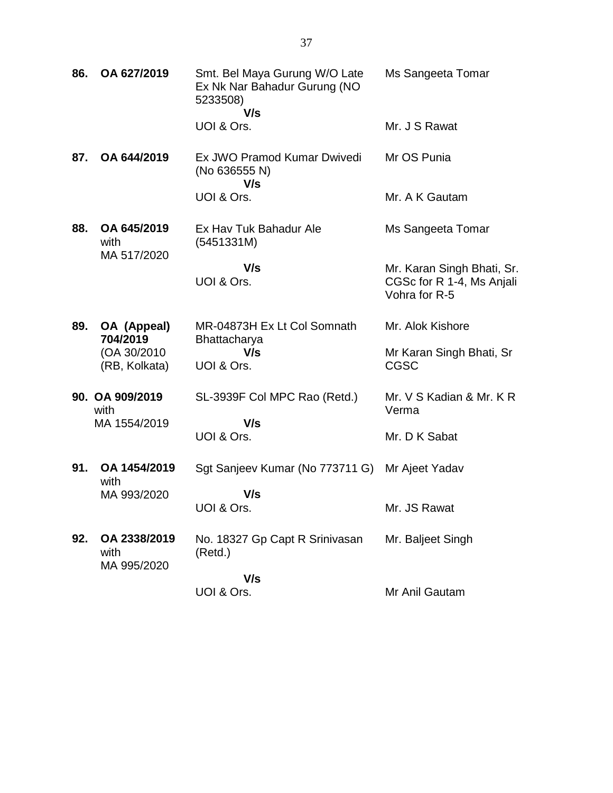| 86. | OA 627/2019                             | Smt. Bel Maya Gurung W/O Late<br>Ex Nk Nar Bahadur Gurung (NO<br>5233508)<br>V/s | Ms Sangeeta Tomar                                                        |
|-----|-----------------------------------------|----------------------------------------------------------------------------------|--------------------------------------------------------------------------|
|     |                                         | UOI & Ors.                                                                       | Mr. J S Rawat                                                            |
| 87. | OA 644/2019                             | Ex JWO Pramod Kumar Dwivedi<br>(No 636555 N)<br>V/s                              | Mr OS Punia                                                              |
|     |                                         | UOI & Ors.                                                                       | Mr. A K Gautam                                                           |
| 88. | OA 645/2019<br>with<br>MA 517/2020      | Ex Hav Tuk Bahadur Ale<br>(5451331M)                                             | Ms Sangeeta Tomar                                                        |
|     |                                         | V/s<br>UOI & Ors.                                                                | Mr. Karan Singh Bhati, Sr.<br>CGSc for R 1-4, Ms Anjali<br>Vohra for R-5 |
| 89. | OA (Appeal)<br>704/2019                 | MR-04873H Ex Lt Col Somnath<br>Bhattacharya                                      | Mr. Alok Kishore                                                         |
|     | (OA 30/2010)<br>(RB, Kolkata)           | V/s<br>UOI & Ors.                                                                | Mr Karan Singh Bhati, Sr<br><b>CGSC</b>                                  |
|     | 90. OA 909/2019<br>with<br>MA 1554/2019 | SL-3939F Col MPC Rao (Retd.)<br>V/s                                              | Mr. V S Kadian & Mr. K R<br>Verma                                        |
|     |                                         | UOI & Ors.                                                                       | Mr. D K Sabat                                                            |
| 91. | OA 1454/2019<br>with                    | Sgt Sanjeev Kumar (No 773711 G)                                                  | Mr Ajeet Yadav                                                           |
|     | MA 993/2020                             | V/s<br>UOI & Ors.                                                                | Mr. JS Rawat                                                             |
| 92. | OA 2338/2019<br>with<br>MA 995/2020     | No. 18327 Gp Capt R Srinivasan<br>(Retd.)                                        | Mr. Baljeet Singh                                                        |
|     |                                         | V/s<br>UOI & Ors.                                                                | Mr Anil Gautam                                                           |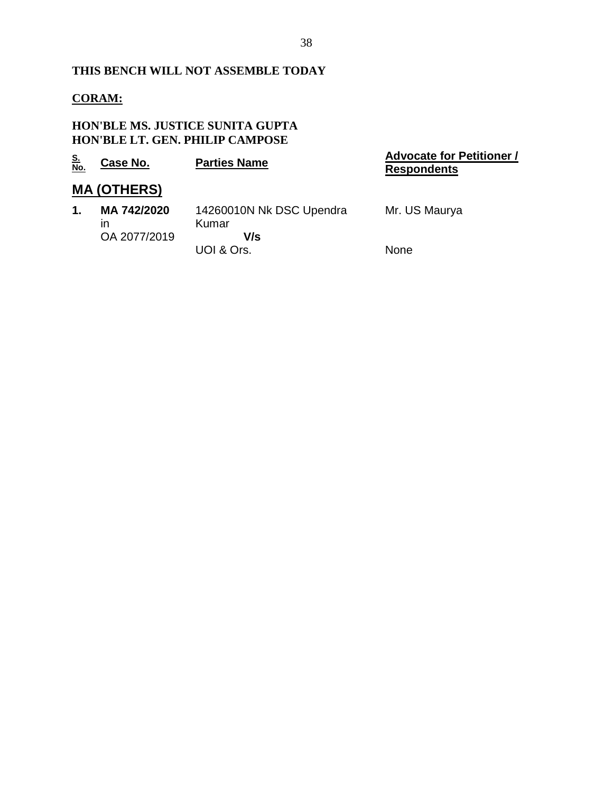#### **THIS BENCH WILL NOT ASSEMBLE TODAY**

## **CORAM:**

#### **HON'BLE MS. JUSTICE SUNITA GUPTA HON'BLE LT. GEN. PHILIP CAMPOSE**

| <u>S.<br/>No.</u> | Case No.           | <b>Parties Name</b>               | <b>Advocate for Petitioner /</b><br><b>Respondents</b> |
|-------------------|--------------------|-----------------------------------|--------------------------------------------------------|
|                   | <b>MA (OTHERS)</b> |                                   |                                                        |
| 1.                | MA 742/2020<br>ın  | 14260010N Nk DSC Upendra<br>Kumar | Mr. US Maurya                                          |
|                   | OA 2077/2019       | V/s                               |                                                        |
|                   |                    | UOI & Ors.                        | None                                                   |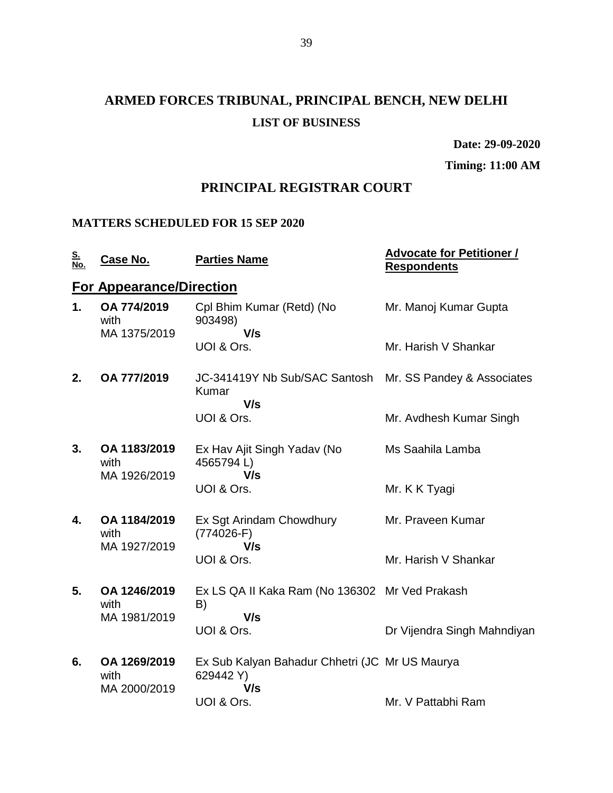# **ARMED FORCES TRIBUNAL, PRINCIPAL BENCH, NEW DELHI LIST OF BUSINESS**

**Date: 29-09-2020**

**Timing: 11:00 AM**

## **PRINCIPAL REGISTRAR COURT**

## **MATTERS SCHEDULED FOR 15 SEP 2020**

| <u>S.</u><br>No. | Case No.                             | <b>Parties Name</b>                                                | <b>Advocate for Petitioner /</b><br><b>Respondents</b> |
|------------------|--------------------------------------|--------------------------------------------------------------------|--------------------------------------------------------|
|                  | <b>For Appearance/Direction</b>      |                                                                    |                                                        |
| 1.               | OA 774/2019<br>with<br>MA 1375/2019  | Cpl Bhim Kumar (Retd) (No<br>903498)<br>V/s                        | Mr. Manoj Kumar Gupta                                  |
|                  |                                      | UOI & Ors.                                                         | Mr. Harish V Shankar                                   |
| 2.               | OA 777/2019                          | JC-341419Y Nb Sub/SAC Santosh<br>Kumar<br>V/s                      | Mr. SS Pandey & Associates                             |
|                  |                                      | UOI & Ors.                                                         | Mr. Avdhesh Kumar Singh                                |
| 3.               | OA 1183/2019<br>with<br>MA 1926/2019 | Ex Hav Ajit Singh Yadav (No<br>4565794L)<br>V/s                    | Ms Saahila Lamba                                       |
|                  |                                      | UOI & Ors.                                                         | Mr. K K Tyagi                                          |
| 4.               | OA 1184/2019<br>with<br>MA 1927/2019 | Ex Sgt Arindam Chowdhury<br>$(774026-F)$<br>V/s                    | Mr. Praveen Kumar                                      |
|                  |                                      | UOI & Ors.                                                         | Mr. Harish V Shankar                                   |
| 5.               | OA 1246/2019<br>with<br>MA 1981/2019 | Ex LS QA II Kaka Ram (No 136302 Mr Ved Prakash<br>B)<br>V/s        |                                                        |
|                  |                                      | UOI & Ors.                                                         | Dr Vijendra Singh Mahndiyan                            |
| 6.               | OA 1269/2019<br>with<br>MA 2000/2019 | Ex Sub Kalyan Bahadur Chhetri (JC Mr US Maurya<br>629442 Y)<br>V/s |                                                        |
|                  |                                      | UOI & Ors.                                                         | Mr. V Pattabhi Ram                                     |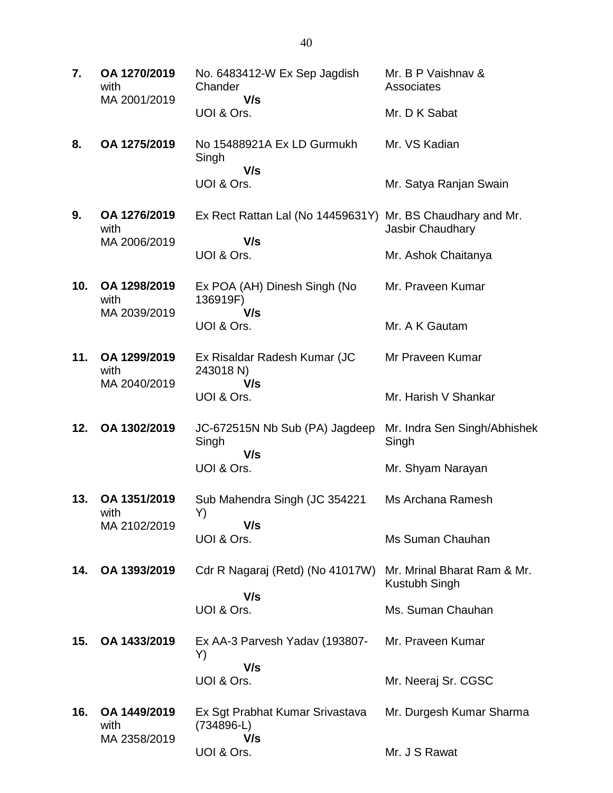| 7.  | OA 1270/2019<br>with<br>MA 2001/2019 | No. 6483412-W Ex Sep Jagdish<br>Chander<br>V/s<br>UOI & Ors.                    | Mr. B P Vaishnav &<br>Associates<br>Mr. D K Sabat                 |
|-----|--------------------------------------|---------------------------------------------------------------------------------|-------------------------------------------------------------------|
| 8.  | OA 1275/2019                         | No 15488921A Ex LD Gurmukh<br>Singh<br>V/s<br>UOI & Ors.                        | Mr. VS Kadian<br>Mr. Satya Ranjan Swain                           |
| 9.  | OA 1276/2019<br>with<br>MA 2006/2019 | Ex Rect Rattan Lal (No 14459631Y) Mr. BS Chaudhary and Mr.<br>V/s<br>UOI & Ors. | Jasbir Chaudhary<br>Mr. Ashok Chaitanya                           |
| 10. | OA 1298/2019<br>with<br>MA 2039/2019 | Ex POA (AH) Dinesh Singh (No<br>136919F)<br>V/s<br>UOI & Ors.                   | Mr. Praveen Kumar<br>Mr. A K Gautam                               |
| 11. | OA 1299/2019<br>with<br>MA 2040/2019 | Ex Risaldar Radesh Kumar (JC<br>243018 N)<br>V/s<br>UOI & Ors.                  | Mr Praveen Kumar<br>Mr. Harish V Shankar                          |
| 12. | OA 1302/2019                         | JC-672515N Nb Sub (PA) Jagdeep<br>Singh<br>V/s<br>UOI & Ors.                    | Mr. Indra Sen Singh/Abhishek<br>Singh<br>Mr. Shyam Narayan        |
| 13. | OA 1351/2019<br>with<br>MA 2102/2019 | Sub Mahendra Singh (JC 354221<br>Y)<br>V/s<br>UOI & Ors.                        | Ms Archana Ramesh<br>Ms Suman Chauhan                             |
| 14. | OA 1393/2019                         | Cdr R Nagaraj (Retd) (No 41017W)<br>V/s<br>UOI & Ors.                           | Mr. Mrinal Bharat Ram & Mr.<br>Kustubh Singh<br>Ms. Suman Chauhan |
| 15. | OA 1433/2019                         | Ex AA-3 Parvesh Yadav (193807-<br>Y)<br>V/s<br>UOI & Ors.                       | Mr. Praveen Kumar<br>Mr. Neeraj Sr. CGSC                          |
| 16. | OA 1449/2019<br>with<br>MA 2358/2019 | Ex Sgt Prabhat Kumar Srivastava<br>(734896-L)<br>V/s<br>UOI & Ors.              | Mr. Durgesh Kumar Sharma<br>Mr. J S Rawat                         |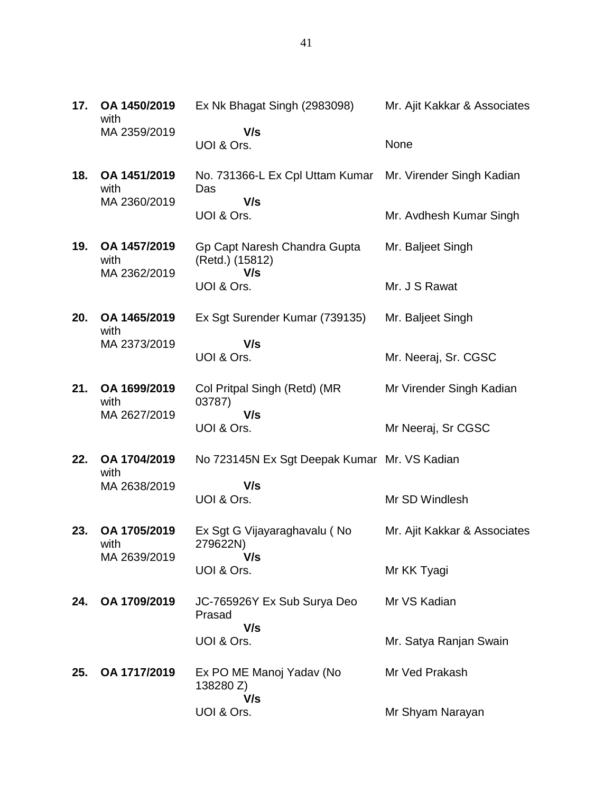| 17. | OA 1450/2019<br>with                 | Ex Nk Bhagat Singh (2983098)                                     | Mr. Ajit Kakkar & Associates |
|-----|--------------------------------------|------------------------------------------------------------------|------------------------------|
|     | MA 2359/2019                         | V/s<br>UOI & Ors.                                                | None                         |
| 18. | OA 1451/2019<br>with                 | No. 731366-L Ex Cpl Uttam Kumar Mr. Virender Singh Kadian<br>Das |                              |
|     | MA 2360/2019                         | V/s<br>UOI & Ors.                                                | Mr. Avdhesh Kumar Singh      |
| 19. | OA 1457/2019<br>with<br>MA 2362/2019 | Gp Capt Naresh Chandra Gupta<br>(Retd.) (15812)<br>V/s           | Mr. Baljeet Singh            |
|     |                                      | UOI & Ors.                                                       | Mr. J S Rawat                |
| 20. | OA 1465/2019<br>with                 | Ex Sgt Surender Kumar (739135)                                   | Mr. Baljeet Singh            |
|     | MA 2373/2019                         | V/s<br>UOI & Ors.                                                | Mr. Neeraj, Sr. CGSC         |
| 21. | OA 1699/2019<br>with                 | Col Pritpal Singh (Retd) (MR<br>03787)                           | Mr Virender Singh Kadian     |
|     | MA 2627/2019                         | V/s<br>UOI & Ors.                                                | Mr Neeraj, Sr CGSC           |
| 22. | OA 1704/2019<br>with                 | No 723145N Ex Sgt Deepak Kumar Mr. VS Kadian                     |                              |
|     | MA 2638/2019                         | V/s<br>UOI & Ors.                                                | Mr SD Windlesh               |
| 23. | OA 1705/2019<br>with                 | Ex Sgt G Vijayaraghavalu (No<br>279622N)                         | Mr. Ajit Kakkar & Associates |
|     | MA 2639/2019                         | V/s<br>UOI & Ors.                                                | Mr KK Tyagi                  |
| 24. | OA 1709/2019                         | JC-765926Y Ex Sub Surya Deo<br>Prasad                            | Mr VS Kadian                 |
|     |                                      | V/s<br>UOI & Ors.                                                | Mr. Satya Ranjan Swain       |
| 25. | OA 1717/2019                         | Ex PO ME Manoj Yadav (No<br>138280 Z)                            | Mr Ved Prakash               |
|     |                                      | V/s<br>UOI & Ors.                                                | Mr Shyam Narayan             |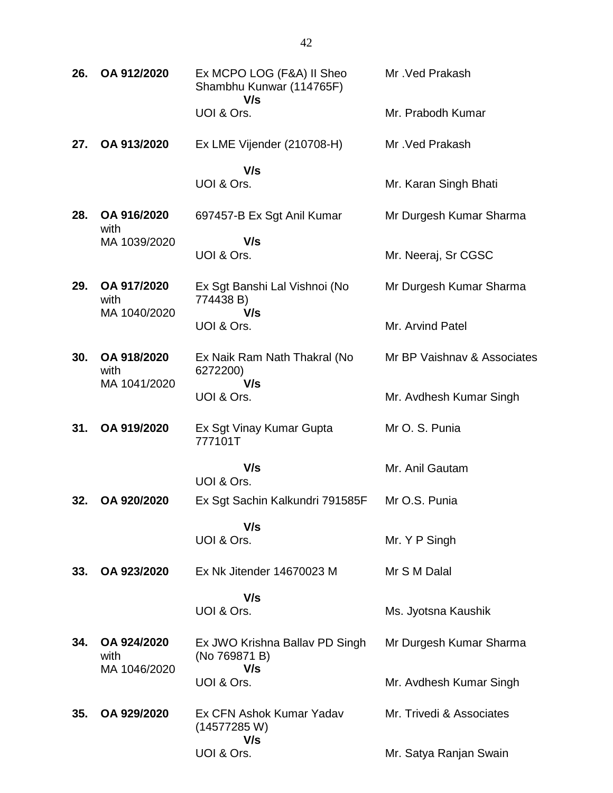**26. OA 912/2020** Ex MCPO LOG (F&A) II Sheo Shambhu Kunwar (114765F)  **V/s** UOI & Ors. Mr .Ved Prakash Mr. Prabodh Kumar **27. OA 913/2020** Ex LME Vijender (210708-H)  **V/s** UOI & Ors. Mr .Ved Prakash Mr. Karan Singh Bhati **28. OA 916/2020** with MA 1039/2020 697457-B Ex Sgt Anil Kumar  **V/s** UOI & Ors. Mr Durgesh Kumar Sharma Mr. Neeraj, Sr CGSC **29. OA 917/2020** with MA 1040/2020 Ex Sgt Banshi Lal Vishnoi (No 774438 B)  **V/s** UOI & Ors. Mr Durgesh Kumar Sharma Mr. Arvind Patel **30. OA 918/2020** with MA 1041/2020 Ex Naik Ram Nath Thakral (No 6272200)  **V/s** UOI & Ors. Mr BP Vaishnav & Associates Mr. Avdhesh Kumar Singh **31. OA 919/2020** Ex Sgt Vinay Kumar Gupta 777101T  **V/s** UOI & Ors. Mr O. S. Punia Mr. Anil Gautam **32. OA 920/2020** Ex Sgt Sachin Kalkundri 791585F  **V/s** UOI & Ors. Mr O.S. Punia Mr. Y P Singh **33. OA 923/2020** Ex Nk Jitender 14670023 M  **V/s** UOI & Ors. Mr S M Dalal Ms. Jyotsna Kaushik **34. OA 924/2020** with MA 1046/2020 Ex JWO Krishna Ballav PD Singh (No 769871 B)  **V/s** UOI & Ors. Mr Durgesh Kumar Sharma Mr. Avdhesh Kumar Singh **35. OA 929/2020** Ex CFN Ashok Kumar Yadav (14577285 W) Mr. Trivedi & Associates

 **V/s**

Mr. Satya Ranjan Swain

UOI & Ors.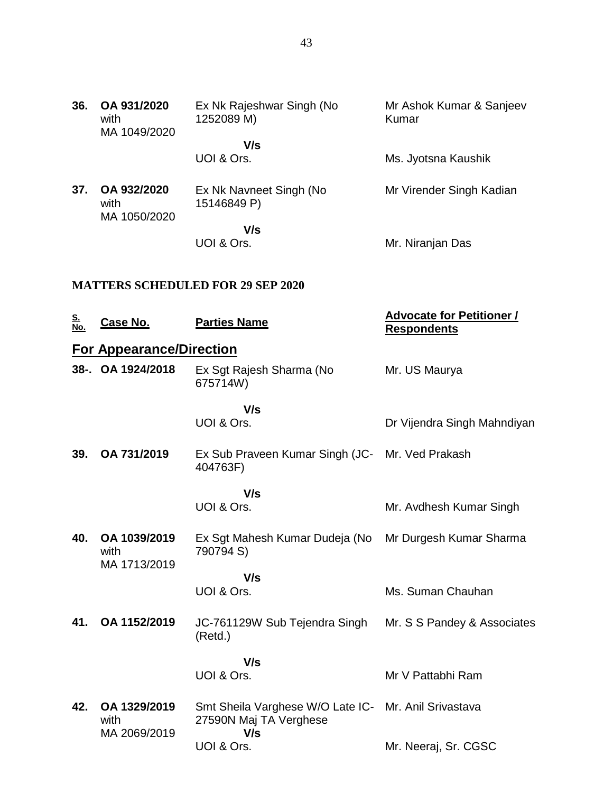| 36. | OA 931/2020<br>with<br>MA 1049/2020 | Ex Nk Rajeshwar Singh (No<br>1252089 M) | Mr Ashok Kumar & Sanjeev<br>Kumar |
|-----|-------------------------------------|-----------------------------------------|-----------------------------------|
|     |                                     | V/s<br>UOI & Ors.                       | Ms. Jyotsna Kaushik               |
| 37. | OA 932/2020<br>with                 | Ex Nk Navneet Singh (No<br>15146849 P)  | Mr Virender Singh Kadian          |
|     | MA 1050/2020                        | V/s<br>UOI & Ors.                       | Mr. Niranjan Das                  |

## **MATTERS SCHEDULED FOR 29 SEP 2020**

| <u>S.<br/>No.</u> | Case No.                             | <b>Parties Name</b>                                                                   | <b>Advocate for Petitioner /</b><br><b>Respondents</b> |
|-------------------|--------------------------------------|---------------------------------------------------------------------------------------|--------------------------------------------------------|
|                   | <b>For Appearance/Direction</b>      |                                                                                       |                                                        |
|                   | 38-. OA 1924/2018                    | Ex Sgt Rajesh Sharma (No<br>675714W)                                                  | Mr. US Maurya                                          |
|                   |                                      | V/s                                                                                   |                                                        |
|                   |                                      | UOI & Ors.                                                                            | Dr Vijendra Singh Mahndiyan                            |
| 39.               | OA 731/2019                          | Ex Sub Praveen Kumar Singh (JC- Mr. Ved Prakash<br>404763F)                           |                                                        |
|                   |                                      | V/s                                                                                   |                                                        |
|                   |                                      | UOI & Ors.                                                                            | Mr. Avdhesh Kumar Singh                                |
| 40.               | OA 1039/2019<br>with<br>MA 1713/2019 | Ex Sgt Mahesh Kumar Dudeja (No Mr Durgesh Kumar Sharma<br>790794 S)                   |                                                        |
|                   |                                      | V/s                                                                                   |                                                        |
|                   |                                      | UOI & Ors.                                                                            | Ms. Suman Chauhan                                      |
| 41.               | OA 1152/2019                         | JC-761129W Sub Tejendra Singh<br>(Retd.)                                              | Mr. S S Pandey & Associates                            |
|                   |                                      | V/s                                                                                   |                                                        |
|                   |                                      | UOI & Ors.                                                                            | Mr V Pattabhi Ram                                      |
| 42.               | OA 1329/2019<br>with<br>MA 2069/2019 | Smt Sheila Varghese W/O Late IC- Mr. Anil Srivastava<br>27590N Maj TA Verghese<br>V/s |                                                        |
|                   |                                      | UOI & Ors.                                                                            | Mr. Neeraj, Sr. CGSC                                   |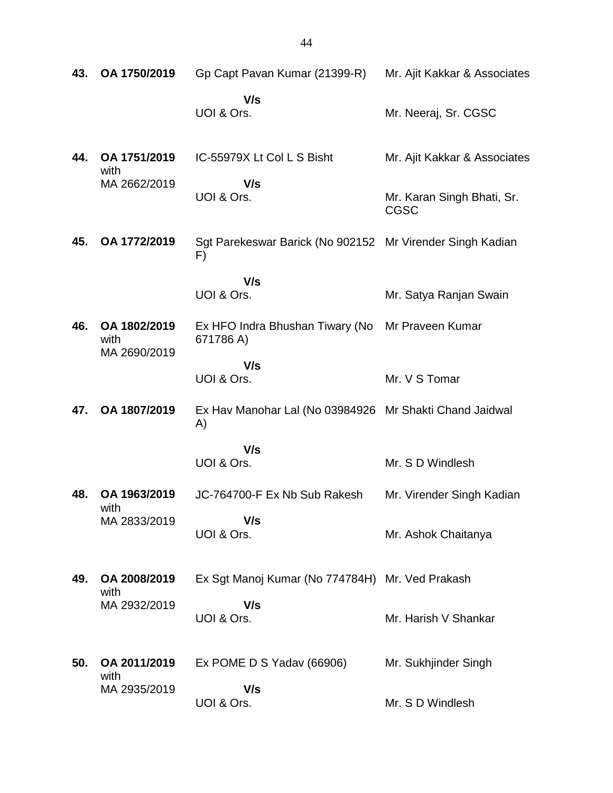| 43. | OA 1750/2019                         | Gp Capt Pavan Kumar (21399-R)                                   | Mr. Ajit Kakkar & Associates              |
|-----|--------------------------------------|-----------------------------------------------------------------|-------------------------------------------|
|     |                                      | V/s<br>UOI & Ors.                                               | Mr. Neeraj, Sr. CGSC                      |
| 44. | OA 1751/2019<br>with<br>MA 2662/2019 | IC-55979X Lt Col L S Bisht                                      | Mr. Ajit Kakkar & Associates              |
|     |                                      | V/s<br>UOI & Ors.                                               | Mr. Karan Singh Bhati, Sr.<br><b>CGSC</b> |
| 45. | OA 1772/2019                         | Sgt Parekeswar Barick (No 902152 Mr Virender Singh Kadian<br>F) |                                           |
|     |                                      | V/s<br>UOI & Ors.                                               | Mr. Satya Ranjan Swain                    |
| 46. | OA 1802/2019<br>with<br>MA 2690/2019 | Ex HFO Indra Bhushan Tiwary (No<br>671786 A)                    | Mr Praveen Kumar                          |
|     |                                      | V/s<br>UOI & Ors.                                               | Mr. V S Tomar                             |
| 47. | OA 1807/2019                         | Ex Hav Manohar Lal (No 03984926 Mr Shakti Chand Jaidwal<br>A)   |                                           |
|     |                                      | V/s<br>UOI & Ors.                                               | Mr. S D Windlesh                          |
| 48. | OA 1963/2019                         | JC-764700-F Ex Nb Sub Rakesh                                    | Mr. Virender Singh Kadian                 |
|     | with<br>MA 2833/2019                 | V/s<br>UOI & Ors.                                               | Mr. Ashok Chaitanya                       |
| 49. | OA 2008/2019<br>with<br>MA 2932/2019 | Ex Sgt Manoj Kumar (No 774784H) Mr. Ved Prakash                 |                                           |
|     |                                      | V/s<br>UOI & Ors.                                               | Mr. Harish V Shankar                      |
| 50. | OA 2011/2019<br>with<br>MA 2935/2019 | Ex POME D S Yadav (66906)                                       | Mr. Sukhjinder Singh                      |
|     |                                      | V/s<br>UOI & Ors.                                               | Mr. S D Windlesh                          |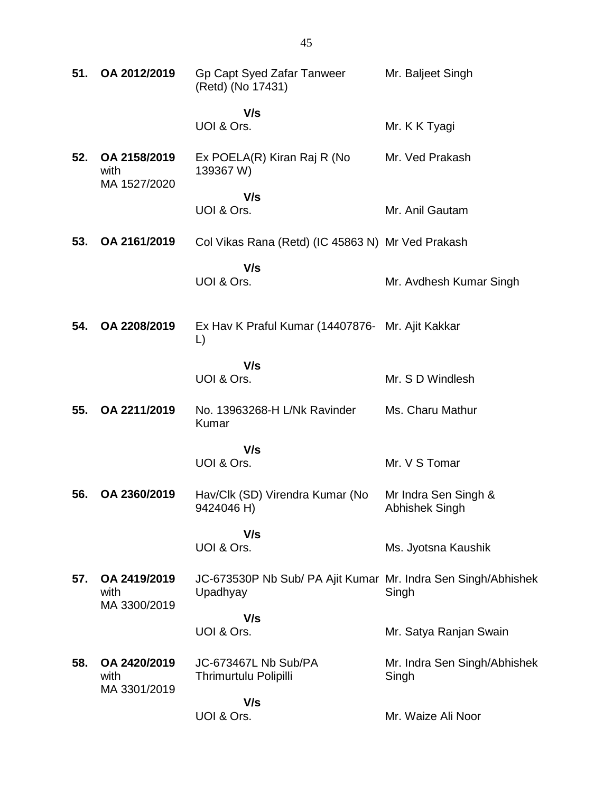| 51. | OA 2012/2019                         | Gp Capt Syed Zafar Tanweer<br>(Retd) (No 17431)                           | Mr. Baljeet Singh                      |
|-----|--------------------------------------|---------------------------------------------------------------------------|----------------------------------------|
|     |                                      | V/s<br>UOI & Ors.                                                         | Mr. K K Tyagi                          |
| 52. | OA 2158/2019<br>with<br>MA 1527/2020 | Ex POELA(R) Kiran Raj R (No<br>139367 W)                                  | Mr. Ved Prakash                        |
|     |                                      | V/s<br>UOI & Ors.                                                         | Mr. Anil Gautam                        |
| 53. | OA 2161/2019                         | Col Vikas Rana (Retd) (IC 45863 N) Mr Ved Prakash                         |                                        |
|     |                                      | V/s<br>UOI & Ors.                                                         | Mr. Avdhesh Kumar Singh                |
| 54. | OA 2208/2019                         | Ex Hav K Praful Kumar (14407876- Mr. Ajit Kakkar<br>$\Box$                |                                        |
|     |                                      | V/s<br>UOI & Ors.                                                         | Mr. S D Windlesh                       |
| 55. | OA 2211/2019                         | No. 13963268-H L/Nk Ravinder<br><b>Kumar</b>                              | Ms. Charu Mathur                       |
|     |                                      | V/s<br>UOI & Ors.                                                         | Mr. V S Tomar                          |
| 56. | OA 2360/2019                         | Hav/Clk (SD) Virendra Kumar (No<br>9424046 H)                             | Mr Indra Sen Singh &<br>Abhishek Singh |
|     |                                      | V/s<br>UOI & Ors.                                                         | Ms. Jyotsna Kaushik                    |
| 57. | OA 2419/2019<br>with<br>MA 3300/2019 | JC-673530P Nb Sub/ PA Ajit Kumar Mr. Indra Sen Singh/Abhishek<br>Upadhyay | Singh                                  |
|     |                                      | V/s<br>UOI & Ors.                                                         | Mr. Satya Ranjan Swain                 |
| 58. | OA 2420/2019<br>with<br>MA 3301/2019 | JC-673467L Nb Sub/PA<br>Thrimurtulu Polipilli                             | Mr. Indra Sen Singh/Abhishek<br>Singh  |
|     |                                      | V/s<br>UOI & Ors.                                                         | Mr. Waize Ali Noor                     |